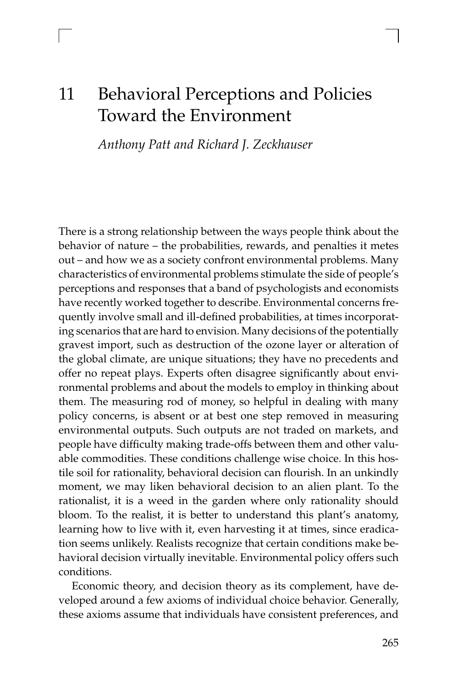# 11 Behavioral Perceptions and Policies Toward the Environment

*Anthony Patt and Richard J. Zeckhauser*

There is a strong relationship between the ways people think about the behavior of nature – the probabilities, rewards, and penalties it metes out – and how we as a society confront environmental problems. Many characteristics of environmental problems stimulate the side of people's perceptions and responses that a band of psychologists and economists have recently worked together to describe. Environmental concerns frequently involve small and ill-defined probabilities, at times incorporating scenarios that are hard to envision. Many decisions of the potentially gravest import, such as destruction of the ozone layer or alteration of the global climate, are unique situations; they have no precedents and offer no repeat plays. Experts often disagree significantly about environmental problems and about the models to employ in thinking about them. The measuring rod of money, so helpful in dealing with many policy concerns, is absent or at best one step removed in measuring environmental outputs. Such outputs are not traded on markets, and people have difficulty making trade-offs between them and other valuable commodities. These conditions challenge wise choice. In this hostile soil for rationality, behavioral decision can flourish. In an unkindly moment, we may liken behavioral decision to an alien plant. To the rationalist, it is a weed in the garden where only rationality should bloom. To the realist, it is better to understand this plant's anatomy, learning how to live with it, even harvesting it at times, since eradication seems unlikely. Realists recognize that certain conditions make behavioral decision virtually inevitable. Environmental policy offers such conditions.

Economic theory, and decision theory as its complement, have developed around a few axioms of individual choice behavior. Generally, these axioms assume that individuals have consistent preferences, and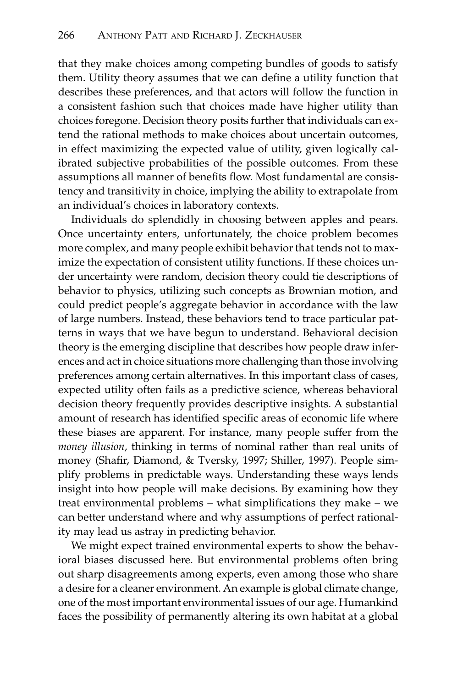that they make choices among competing bundles of goods to satisfy them. Utility theory assumes that we can define a utility function that describes these preferences, and that actors will follow the function in a consistent fashion such that choices made have higher utility than choices foregone. Decision theory posits further that individuals can extend the rational methods to make choices about uncertain outcomes, in effect maximizing the expected value of utility, given logically calibrated subjective probabilities of the possible outcomes. From these assumptions all manner of benefits flow. Most fundamental are consistency and transitivity in choice, implying the ability to extrapolate from an individual's choices in laboratory contexts.

Individuals do splendidly in choosing between apples and pears. Once uncertainty enters, unfortunately, the choice problem becomes more complex, and many people exhibit behavior that tends not to maximize the expectation of consistent utility functions. If these choices under uncertainty were random, decision theory could tie descriptions of behavior to physics, utilizing such concepts as Brownian motion, and could predict people's aggregate behavior in accordance with the law of large numbers. Instead, these behaviors tend to trace particular patterns in ways that we have begun to understand. Behavioral decision theory is the emerging discipline that describes how people draw inferences and act in choice situations more challenging than those involving preferences among certain alternatives. In this important class of cases, expected utility often fails as a predictive science, whereas behavioral decision theory frequently provides descriptive insights. A substantial amount of research has identified specific areas of economic life where these biases are apparent. For instance, many people suffer from the *money illusion*, thinking in terms of nominal rather than real units of money (Shafir, Diamond, & Tversky, 1997; Shiller, 1997). People simplify problems in predictable ways. Understanding these ways lends insight into how people will make decisions. By examining how they treat environmental problems – what simplifications they make – we can better understand where and why assumptions of perfect rationality may lead us astray in predicting behavior.

We might expect trained environmental experts to show the behavioral biases discussed here. But environmental problems often bring out sharp disagreements among experts, even among those who share a desire for a cleaner environment. An example is global climate change, one of the most important environmental issues of our age. Humankind faces the possibility of permanently altering its own habitat at a global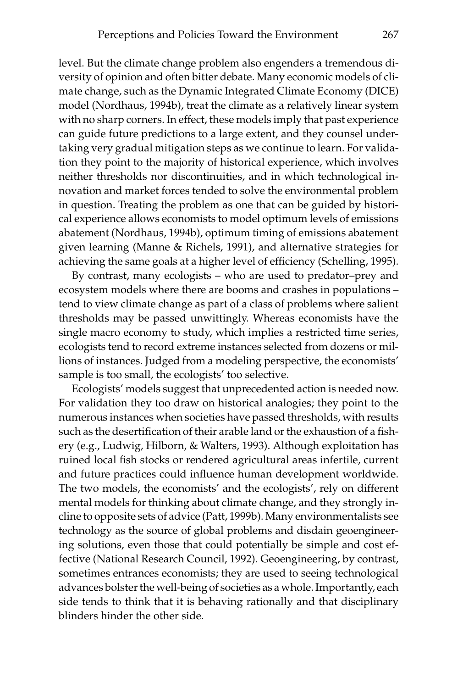level. But the climate change problem also engenders a tremendous diversity of opinion and often bitter debate. Many economic models of climate change, such as the Dynamic Integrated Climate Economy (DICE) model (Nordhaus, 1994b), treat the climate as a relatively linear system with no sharp corners. In effect, these models imply that past experience can guide future predictions to a large extent, and they counsel undertaking very gradual mitigation steps as we continue to learn. For validation they point to the majority of historical experience, which involves neither thresholds nor discontinuities, and in which technological innovation and market forces tended to solve the environmental problem in question. Treating the problem as one that can be guided by historical experience allows economists to model optimum levels of emissions abatement (Nordhaus, 1994b), optimum timing of emissions abatement given learning (Manne & Richels, 1991), and alternative strategies for achieving the same goals at a higher level of efficiency (Schelling, 1995).

By contrast, many ecologists – who are used to predator–prey and ecosystem models where there are booms and crashes in populations – tend to view climate change as part of a class of problems where salient thresholds may be passed unwittingly. Whereas economists have the single macro economy to study, which implies a restricted time series, ecologists tend to record extreme instances selected from dozens or millions of instances. Judged from a modeling perspective, the economists' sample is too small, the ecologists' too selective.

Ecologists' models suggest that unprecedented action is needed now. For validation they too draw on historical analogies; they point to the numerous instances when societies have passed thresholds, with results such as the desertification of their arable land or the exhaustion of a fishery (e.g., Ludwig, Hilborn, & Walters, 1993). Although exploitation has ruined local fish stocks or rendered agricultural areas infertile, current and future practices could influence human development worldwide. The two models, the economists' and the ecologists', rely on different mental models for thinking about climate change, and they strongly incline to opposite sets of advice (Patt, 1999b). Many environmentalists see technology as the source of global problems and disdain geoengineering solutions, even those that could potentially be simple and cost effective (National Research Council, 1992). Geoengineering, by contrast, sometimes entrances economists; they are used to seeing technological advances bolster the well-being of societies as a whole. Importantly, each side tends to think that it is behaving rationally and that disciplinary blinders hinder the other side.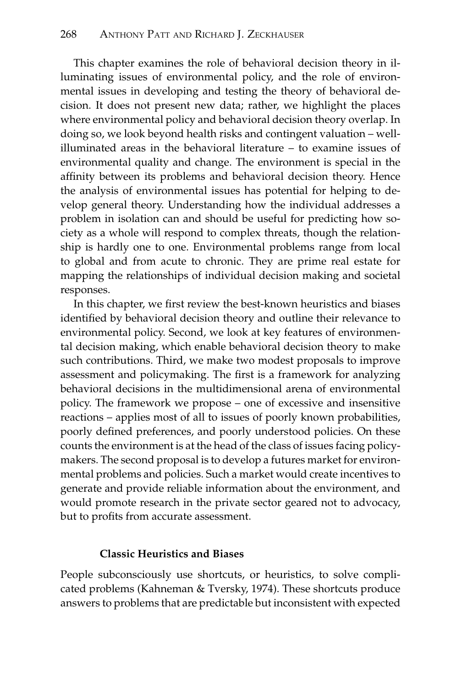This chapter examines the role of behavioral decision theory in illuminating issues of environmental policy, and the role of environmental issues in developing and testing the theory of behavioral decision. It does not present new data; rather, we highlight the places where environmental policy and behavioral decision theory overlap. In doing so, we look beyond health risks and contingent valuation – wellilluminated areas in the behavioral literature – to examine issues of environmental quality and change. The environment is special in the affinity between its problems and behavioral decision theory. Hence the analysis of environmental issues has potential for helping to develop general theory. Understanding how the individual addresses a problem in isolation can and should be useful for predicting how society as a whole will respond to complex threats, though the relationship is hardly one to one. Environmental problems range from local to global and from acute to chronic. They are prime real estate for mapping the relationships of individual decision making and societal responses.

In this chapter, we first review the best-known heuristics and biases identified by behavioral decision theory and outline their relevance to environmental policy. Second, we look at key features of environmental decision making, which enable behavioral decision theory to make such contributions. Third, we make two modest proposals to improve assessment and policymaking. The first is a framework for analyzing behavioral decisions in the multidimensional arena of environmental policy. The framework we propose – one of excessive and insensitive reactions – applies most of all to issues of poorly known probabilities, poorly defined preferences, and poorly understood policies. On these counts the environment is at the head of the class of issues facing policymakers. The second proposal is to develop a futures market for environmental problems and policies. Such a market would create incentives to generate and provide reliable information about the environment, and would promote research in the private sector geared not to advocacy, but to profits from accurate assessment.

# **Classic Heuristics and Biases**

People subconsciously use shortcuts, or heuristics, to solve complicated problems (Kahneman & Tversky, 1974). These shortcuts produce answers to problems that are predictable but inconsistent with expected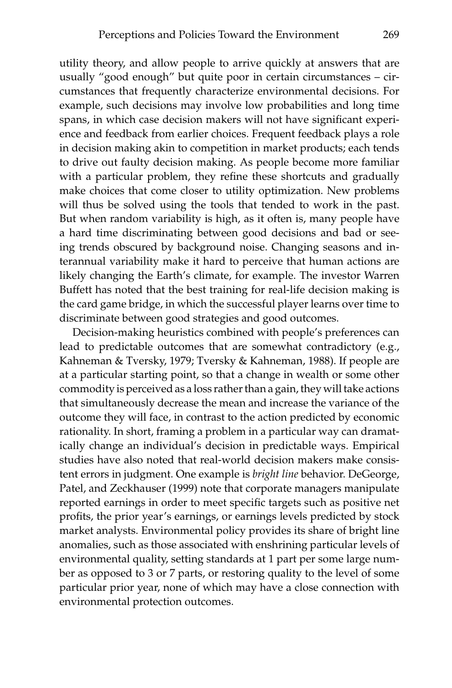utility theory, and allow people to arrive quickly at answers that are usually "good enough" but quite poor in certain circumstances – circumstances that frequently characterize environmental decisions. For example, such decisions may involve low probabilities and long time spans, in which case decision makers will not have significant experience and feedback from earlier choices. Frequent feedback plays a role in decision making akin to competition in market products; each tends to drive out faulty decision making. As people become more familiar with a particular problem, they refine these shortcuts and gradually make choices that come closer to utility optimization. New problems will thus be solved using the tools that tended to work in the past. But when random variability is high, as it often is, many people have a hard time discriminating between good decisions and bad or seeing trends obscured by background noise. Changing seasons and interannual variability make it hard to perceive that human actions are likely changing the Earth's climate, for example. The investor Warren Buffett has noted that the best training for real-life decision making is the card game bridge, in which the successful player learns over time to discriminate between good strategies and good outcomes.

Decision-making heuristics combined with people's preferences can lead to predictable outcomes that are somewhat contradictory (e.g., Kahneman & Tversky, 1979; Tversky & Kahneman, 1988). If people are at a particular starting point, so that a change in wealth or some other commodity is perceived as a loss rather than a gain, they will take actions that simultaneously decrease the mean and increase the variance of the outcome they will face, in contrast to the action predicted by economic rationality. In short, framing a problem in a particular way can dramatically change an individual's decision in predictable ways. Empirical studies have also noted that real-world decision makers make consistent errors in judgment. One example is *bright line* behavior. DeGeorge, Patel, and Zeckhauser (1999) note that corporate managers manipulate reported earnings in order to meet specific targets such as positive net profits, the prior year's earnings, or earnings levels predicted by stock market analysts. Environmental policy provides its share of bright line anomalies, such as those associated with enshrining particular levels of environmental quality, setting standards at 1 part per some large number as opposed to 3 or 7 parts, or restoring quality to the level of some particular prior year, none of which may have a close connection with environmental protection outcomes.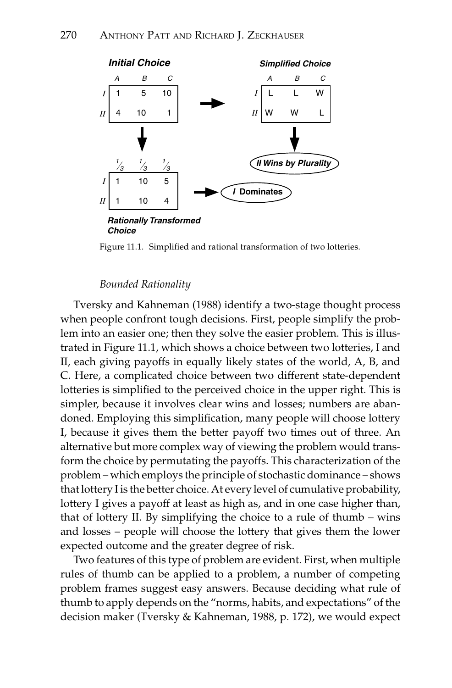

Figure 11.1. Simplified and rational transformation of two lotteries.

#### *Bounded Rationality*

Tversky and Kahneman (1988) identify a two-stage thought process when people confront tough decisions. First, people simplify the problem into an easier one; then they solve the easier problem. This is illustrated in Figure 11.1, which shows a choice between two lotteries, I and II, each giving payoffs in equally likely states of the world, A, B, and C. Here, a complicated choice between two different state-dependent lotteries is simplified to the perceived choice in the upper right. This is simpler, because it involves clear wins and losses; numbers are abandoned. Employing this simplification, many people will choose lottery I, because it gives them the better payoff two times out of three. An alternative but more complex way of viewing the problem would transform the choice by permutating the payoffs. This characterization of the problem – which employs the principle of stochastic dominance – shows that lottery I is the better choice. At every level of cumulative probability, lottery I gives a payoff at least as high as, and in one case higher than, that of lottery II. By simplifying the choice to a rule of thumb – wins and losses – people will choose the lottery that gives them the lower expected outcome and the greater degree of risk.

Two features of this type of problem are evident. First, when multiple rules of thumb can be applied to a problem, a number of competing problem frames suggest easy answers. Because deciding what rule of thumb to apply depends on the "norms, habits, and expectations" of the decision maker (Tversky & Kahneman, 1988, p. 172), we would expect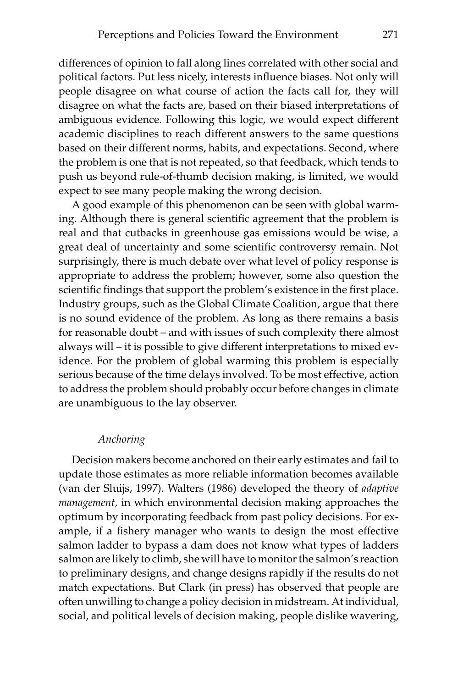differences of opinion to fall along lines correlated with other social and political factors. Put less nicely, interests influence biases. Not only will people disagree on what course of action the facts call for, they will disagree on what the facts are, based on their biased interpretations of ambiguous evidence. Following this logic, we would expect different academic disciplines to reach different answers to the same questions based on their different norms, habits, and expectations. Second, where the problem is one that is not repeated, so that feedback, which tends to push us beyond rule-of-thumb decision making, is limited, we would expect to see many people making the wrong decision.

A good example of this phenomenon can be seen with global warming. Although there is general scientific agreement that the problem is real and that cutbacks in greenhouse gas emissions would be wise, a great deal of uncertainty and some scientific controversy remain. Not surprisingly, there is much debate over what level of policy response is appropriate to address the problem; however, some also question the scientific findings that support the problem's existence in the first place. Industry groups, such as the Global Climate Coalition, argue that there is no sound evidence of the problem. As long as there remains a basis for reasonable doubt – and with issues of such complexity there almost always will – it is possible to give different interpretations to mixed evidence. For the problem of global warming this problem is especially serious because of the time delays involved. To be most effective, action to address the problem should probably occur before changes in climate are unambiguous to the lay observer.

#### *Anchoring*

Decision makers become anchored on their early estimates and fail to update those estimates as more reliable information becomes available (van der Sluijs, 1997). Walters (1986) developed the theory of *adaptive management,* in which environmental decision making approaches the optimum by incorporating feedback from past policy decisions. For example, if a fishery manager who wants to design the most effective salmon ladder to bypass a dam does not know what types of ladders salmon are likely to climb, she will have to monitor the salmon's reaction to preliminary designs, and change designs rapidly if the results do not match expectations. But Clark (in press) has observed that people are often unwilling to change a policy decision in midstream. At individual, social, and political levels of decision making, people dislike wavering,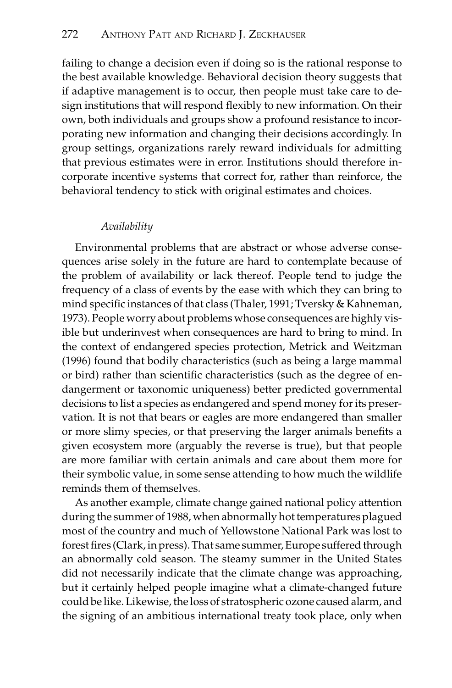failing to change a decision even if doing so is the rational response to the best available knowledge. Behavioral decision theory suggests that if adaptive management is to occur, then people must take care to design institutions that will respond flexibly to new information. On their own, both individuals and groups show a profound resistance to incorporating new information and changing their decisions accordingly. In group settings, organizations rarely reward individuals for admitting that previous estimates were in error. Institutions should therefore incorporate incentive systems that correct for, rather than reinforce, the behavioral tendency to stick with original estimates and choices.

## *Availability*

Environmental problems that are abstract or whose adverse consequences arise solely in the future are hard to contemplate because of the problem of availability or lack thereof. People tend to judge the frequency of a class of events by the ease with which they can bring to mind specific instances of that class (Thaler, 1991; Tversky & Kahneman, 1973). People worry about problems whose consequences are highly visible but underinvest when consequences are hard to bring to mind. In the context of endangered species protection, Metrick and Weitzman (1996) found that bodily characteristics (such as being a large mammal or bird) rather than scientific characteristics (such as the degree of endangerment or taxonomic uniqueness) better predicted governmental decisions to list a species as endangered and spend money for its preservation. It is not that bears or eagles are more endangered than smaller or more slimy species, or that preserving the larger animals benefits a given ecosystem more (arguably the reverse is true), but that people are more familiar with certain animals and care about them more for their symbolic value, in some sense attending to how much the wildlife reminds them of themselves.

As another example, climate change gained national policy attention during the summer of 1988, when abnormally hot temperatures plagued most of the country and much of Yellowstone National Park was lost to forest fires (Clark, in press). That same summer, Europe suffered through an abnormally cold season. The steamy summer in the United States did not necessarily indicate that the climate change was approaching, but it certainly helped people imagine what a climate-changed future could be like. Likewise, the loss of stratospheric ozone caused alarm, and the signing of an ambitious international treaty took place, only when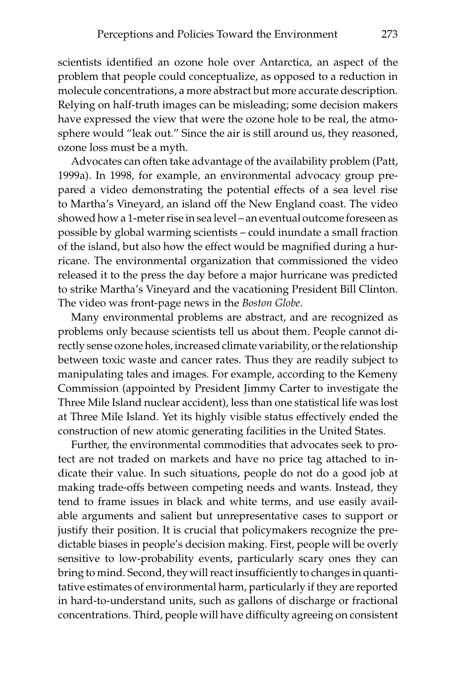scientists identified an ozone hole over Antarctica, an aspect of the problem that people could conceptualize, as opposed to a reduction in molecule concentrations, a more abstract but more accurate description. Relying on half-truth images can be misleading; some decision makers have expressed the view that were the ozone hole to be real, the atmosphere would "leak out." Since the air is still around us, they reasoned, ozone loss must be a myth.

Advocates can often take advantage of the availability problem (Patt, 1999a). In 1998, for example, an environmental advocacy group prepared a video demonstrating the potential effects of a sea level rise to Martha's Vineyard, an island off the New England coast. The video showed how a 1-meter rise in sea level – an eventual outcome foreseen as possible by global warming scientists – could inundate a small fraction of the island, but also how the effect would be magnified during a hurricane. The environmental organization that commissioned the video released it to the press the day before a major hurricane was predicted to strike Martha's Vineyard and the vacationing President Bill Clinton. The video was front-page news in the *Boston Globe*.

Many environmental problems are abstract, and are recognized as problems only because scientists tell us about them. People cannot directly sense ozone holes, increased climate variability, or the relationship between toxic waste and cancer rates. Thus they are readily subject to manipulating tales and images. For example, according to the Kemeny Commission (appointed by President Jimmy Carter to investigate the Three Mile Island nuclear accident), less than one statistical life was lost at Three Mile Island. Yet its highly visible status effectively ended the construction of new atomic generating facilities in the United States.

Further, the environmental commodities that advocates seek to protect are not traded on markets and have no price tag attached to indicate their value. In such situations, people do not do a good job at making trade-offs between competing needs and wants. Instead, they tend to frame issues in black and white terms, and use easily available arguments and salient but unrepresentative cases to support or justify their position. It is crucial that policymakers recognize the predictable biases in people's decision making. First, people will be overly sensitive to low-probability events, particularly scary ones they can bring to mind. Second, they will react insufficiently to changes in quantitative estimates of environmental harm, particularly if they are reported in hard-to-understand units, such as gallons of discharge or fractional concentrations. Third, people will have difficulty agreeing on consistent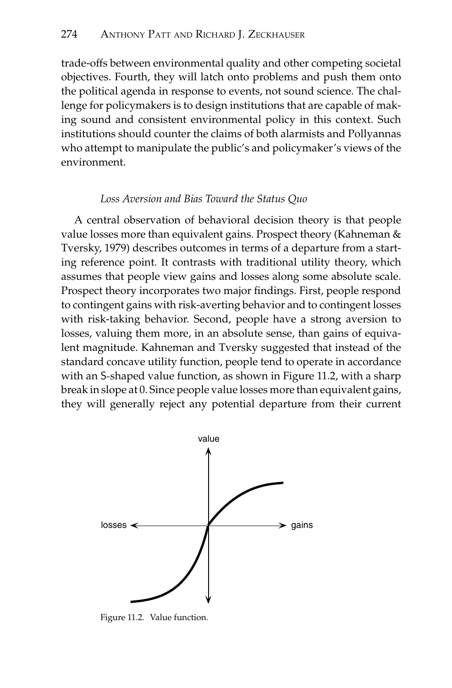trade-offs between environmental quality and other competing societal objectives. Fourth, they will latch onto problems and push them onto the political agenda in response to events, not sound science. The challenge for policymakers is to design institutions that are capable of making sound and consistent environmental policy in this context. Such institutions should counter the claims of both alarmists and Pollyannas who attempt to manipulate the public's and policymaker's views of the environment.

#### *Loss Aversion and Bias Toward the Status Quo*

A central observation of behavioral decision theory is that people value losses more than equivalent gains. Prospect theory (Kahneman & Tversky, 1979) describes outcomes in terms of a departure from a starting reference point. It contrasts with traditional utility theory, which assumes that people view gains and losses along some absolute scale. Prospect theory incorporates two major findings. First, people respond to contingent gains with risk-averting behavior and to contingent losses with risk-taking behavior. Second, people have a strong aversion to losses, valuing them more, in an absolute sense, than gains of equivalent magnitude. Kahneman and Tversky suggested that instead of the standard concave utility function, people tend to operate in accordance with an S-shaped value function, as shown in Figure 11.2, with a sharp break in slope at 0. Since people value losses more than equivalent gains, they will generally reject any potential departure from their current



Figure 11.2. Value function.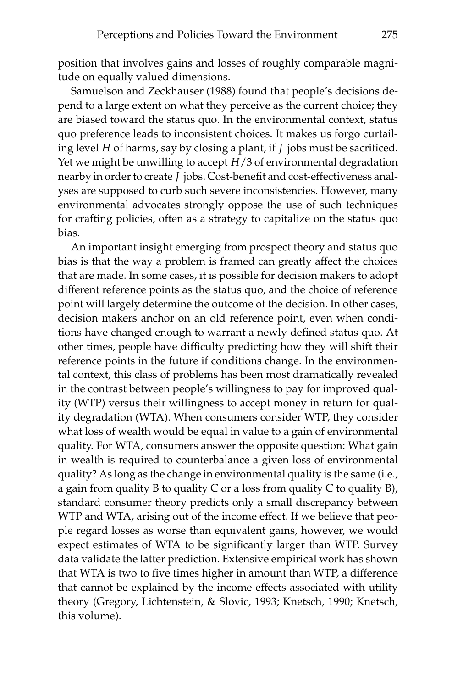position that involves gains and losses of roughly comparable magnitude on equally valued dimensions.

Samuelson and Zeckhauser (1988) found that people's decisions depend to a large extent on what they perceive as the current choice; they are biased toward the status quo. In the environmental context, status quo preference leads to inconsistent choices. It makes us forgo curtailing level *H* of harms, say by closing a plant, if *J* jobs must be sacrificed. Yet we might be unwilling to accept *H*/3 of environmental degradation nearby in order to create *J* jobs. Cost-benefit and cost-effectiveness analyses are supposed to curb such severe inconsistencies. However, many environmental advocates strongly oppose the use of such techniques for crafting policies, often as a strategy to capitalize on the status quo bias.

An important insight emerging from prospect theory and status quo bias is that the way a problem is framed can greatly affect the choices that are made. In some cases, it is possible for decision makers to adopt different reference points as the status quo, and the choice of reference point will largely determine the outcome of the decision. In other cases, decision makers anchor on an old reference point, even when conditions have changed enough to warrant a newly defined status quo. At other times, people have difficulty predicting how they will shift their reference points in the future if conditions change. In the environmental context, this class of problems has been most dramatically revealed in the contrast between people's willingness to pay for improved quality (WTP) versus their willingness to accept money in return for quality degradation (WTA). When consumers consider WTP, they consider what loss of wealth would be equal in value to a gain of environmental quality. For WTA, consumers answer the opposite question: What gain in wealth is required to counterbalance a given loss of environmental quality? As long as the change in environmental quality is the same (i.e., a gain from quality B to quality C or a loss from quality C to quality B), standard consumer theory predicts only a small discrepancy between WTP and WTA, arising out of the income effect. If we believe that people regard losses as worse than equivalent gains, however, we would expect estimates of WTA to be significantly larger than WTP. Survey data validate the latter prediction. Extensive empirical work has shown that WTA is two to five times higher in amount than WTP, a difference that cannot be explained by the income effects associated with utility theory (Gregory, Lichtenstein, & Slovic, 1993; Knetsch, 1990; Knetsch, this volume).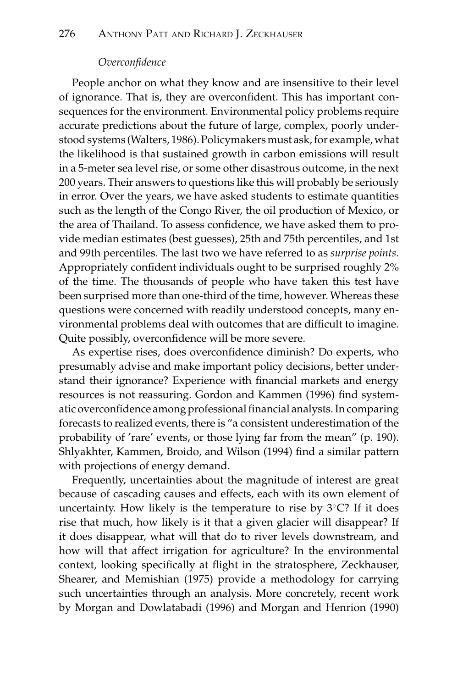## *Overconfidence*

People anchor on what they know and are insensitive to their level of ignorance. That is, they are overconfident. This has important consequences for the environment. Environmental policy problems require accurate predictions about the future of large, complex, poorly understood systems (Walters, 1986). Policymakers must ask, for example, what the likelihood is that sustained growth in carbon emissions will result in a 5-meter sea level rise, or some other disastrous outcome, in the next 200 years. Their answers to questions like this will probably be seriously in error. Over the years, we have asked students to estimate quantities such as the length of the Congo River, the oil production of Mexico, or the area of Thailand. To assess confidence, we have asked them to provide median estimates (best guesses), 25th and 75th percentiles, and 1st and 99th percentiles. The last two we have referred to as *surprise points*. Appropriately confident individuals ought to be surprised roughly 2% of the time. The thousands of people who have taken this test have been surprised more than one-third of the time, however. Whereas these questions were concerned with readily understood concepts, many environmental problems deal with outcomes that are difficult to imagine. Quite possibly, overconfidence will be more severe.

As expertise rises, does overconfidence diminish? Do experts, who presumably advise and make important policy decisions, better understand their ignorance? Experience with financial markets and energy resources is not reassuring. Gordon and Kammen (1996) find systematic overconfidence among professional financial analysts. In comparing forecasts to realized events, there is "a consistent underestimation of the probability of 'rare' events, or those lying far from the mean" (p. 190). Shlyakhter, Kammen, Broido, and Wilson (1994) find a similar pattern with projections of energy demand.

Frequently, uncertainties about the magnitude of interest are great because of cascading causes and effects, each with its own element of uncertainty. How likely is the temperature to rise by  $3°C$ ? If it does rise that much, how likely is it that a given glacier will disappear? If it does disappear, what will that do to river levels downstream, and how will that affect irrigation for agriculture? In the environmental context, looking specifically at flight in the stratosphere, Zeckhauser, Shearer, and Memishian (1975) provide a methodology for carrying such uncertainties through an analysis. More concretely, recent work by Morgan and Dowlatabadi (1996) and Morgan and Henrion (1990)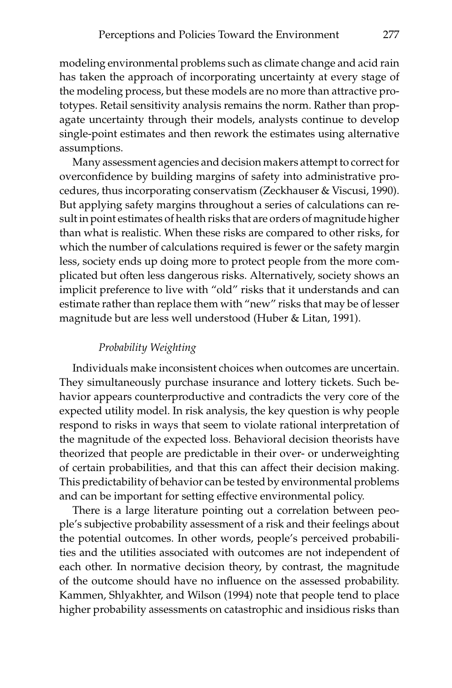modeling environmental problems such as climate change and acid rain has taken the approach of incorporating uncertainty at every stage of the modeling process, but these models are no more than attractive prototypes. Retail sensitivity analysis remains the norm. Rather than propagate uncertainty through their models, analysts continue to develop single-point estimates and then rework the estimates using alternative assumptions.

Many assessment agencies and decision makers attempt to correct for overconfidence by building margins of safety into administrative procedures, thus incorporating conservatism (Zeckhauser & Viscusi, 1990). But applying safety margins throughout a series of calculations can result in point estimates of health risks that are orders of magnitude higher than what is realistic. When these risks are compared to other risks, for which the number of calculations required is fewer or the safety margin less, society ends up doing more to protect people from the more complicated but often less dangerous risks. Alternatively, society shows an implicit preference to live with "old" risks that it understands and can estimate rather than replace them with "new" risks that may be of lesser magnitude but are less well understood (Huber & Litan, 1991).

## *Probability Weighting*

Individuals make inconsistent choices when outcomes are uncertain. They simultaneously purchase insurance and lottery tickets. Such behavior appears counterproductive and contradicts the very core of the expected utility model. In risk analysis, the key question is why people respond to risks in ways that seem to violate rational interpretation of the magnitude of the expected loss. Behavioral decision theorists have theorized that people are predictable in their over- or underweighting of certain probabilities, and that this can affect their decision making. This predictability of behavior can be tested by environmental problems and can be important for setting effective environmental policy.

There is a large literature pointing out a correlation between people's subjective probability assessment of a risk and their feelings about the potential outcomes. In other words, people's perceived probabilities and the utilities associated with outcomes are not independent of each other. In normative decision theory, by contrast, the magnitude of the outcome should have no influence on the assessed probability. Kammen, Shlyakhter, and Wilson (1994) note that people tend to place higher probability assessments on catastrophic and insidious risks than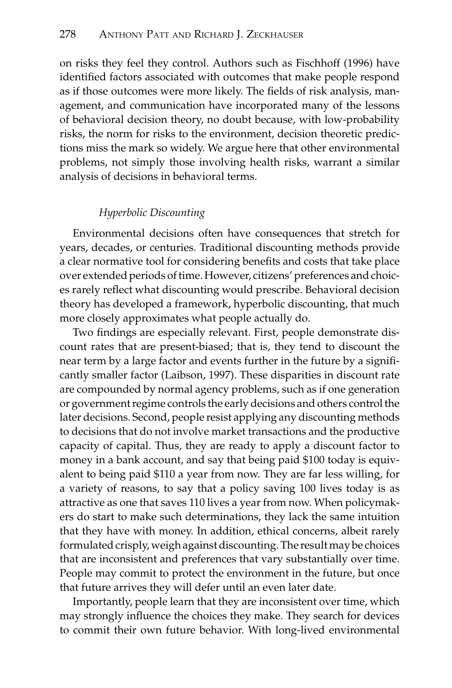on risks they feel they control. Authors such as Fischhoff (1996) have identified factors associated with outcomes that make people respond as if those outcomes were more likely. The fields of risk analysis, management, and communication have incorporated many of the lessons of behavioral decision theory, no doubt because, with low-probability risks, the norm for risks to the environment, decision theoretic predictions miss the mark so widely. We argue here that other environmental problems, not simply those involving health risks, warrant a similar analysis of decisions in behavioral terms.

## *Hyperbolic Discounting*

Environmental decisions often have consequences that stretch for years, decades, or centuries. Traditional discounting methods provide a clear normative tool for considering benefits and costs that take place over extended periods of time. However, citizens' preferences and choices rarely reflect what discounting would prescribe. Behavioral decision theory has developed a framework, hyperbolic discounting, that much more closely approximates what people actually do.

Two findings are especially relevant. First, people demonstrate discount rates that are present-biased; that is, they tend to discount the near term by a large factor and events further in the future by a significantly smaller factor (Laibson, 1997). These disparities in discount rate are compounded by normal agency problems, such as if one generation or government regime controls the early decisions and others control the later decisions. Second, people resist applying any discounting methods to decisions that do not involve market transactions and the productive capacity of capital. Thus, they are ready to apply a discount factor to money in a bank account, and say that being paid \$100 today is equivalent to being paid \$110 a year from now. They are far less willing, for a variety of reasons, to say that a policy saving 100 lives today is as attractive as one that saves 110 lives a year from now. When policymakers do start to make such determinations, they lack the same intuition that they have with money. In addition, ethical concerns, albeit rarely formulated crisply, weigh against discounting. The result may be choices that are inconsistent and preferences that vary substantially over time. People may commit to protect the environment in the future, but once that future arrives they will defer until an even later date.

Importantly, people learn that they are inconsistent over time, which may strongly influence the choices they make. They search for devices to commit their own future behavior. With long-lived environmental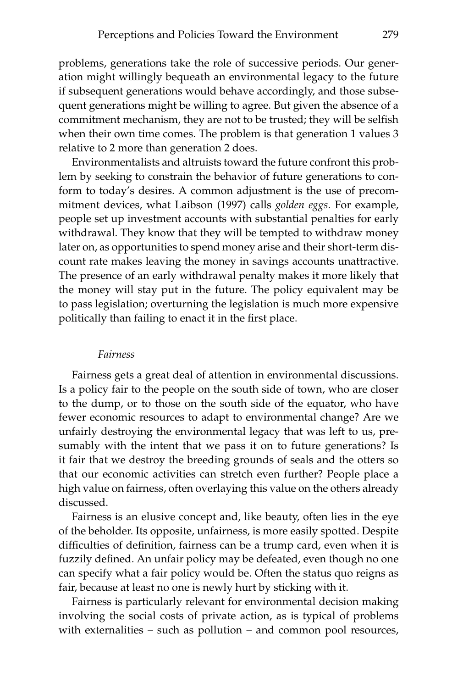problems, generations take the role of successive periods. Our generation might willingly bequeath an environmental legacy to the future if subsequent generations would behave accordingly, and those subsequent generations might be willing to agree. But given the absence of a commitment mechanism, they are not to be trusted; they will be selfish when their own time comes. The problem is that generation 1 values 3 relative to 2 more than generation 2 does.

Environmentalists and altruists toward the future confront this problem by seeking to constrain the behavior of future generations to conform to today's desires. A common adjustment is the use of precommitment devices, what Laibson (1997) calls *golden eggs*. For example, people set up investment accounts with substantial penalties for early withdrawal. They know that they will be tempted to withdraw money later on, as opportunities to spend money arise and their short-term discount rate makes leaving the money in savings accounts unattractive. The presence of an early withdrawal penalty makes it more likely that the money will stay put in the future. The policy equivalent may be to pass legislation; overturning the legislation is much more expensive politically than failing to enact it in the first place.

#### *Fairness*

Fairness gets a great deal of attention in environmental discussions. Is a policy fair to the people on the south side of town, who are closer to the dump, or to those on the south side of the equator, who have fewer economic resources to adapt to environmental change? Are we unfairly destroying the environmental legacy that was left to us, presumably with the intent that we pass it on to future generations? Is it fair that we destroy the breeding grounds of seals and the otters so that our economic activities can stretch even further? People place a high value on fairness, often overlaying this value on the others already discussed.

Fairness is an elusive concept and, like beauty, often lies in the eye of the beholder. Its opposite, unfairness, is more easily spotted. Despite difficulties of definition, fairness can be a trump card, even when it is fuzzily defined. An unfair policy may be defeated, even though no one can specify what a fair policy would be. Often the status quo reigns as fair, because at least no one is newly hurt by sticking with it.

Fairness is particularly relevant for environmental decision making involving the social costs of private action, as is typical of problems with externalities – such as pollution – and common pool resources,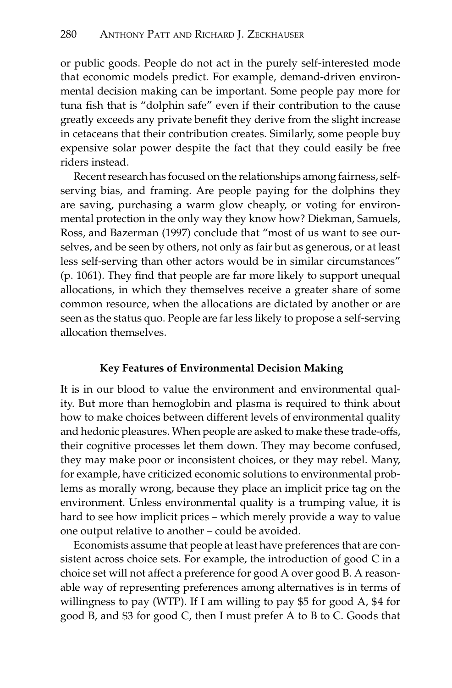or public goods. People do not act in the purely self-interested mode that economic models predict. For example, demand-driven environmental decision making can be important. Some people pay more for tuna fish that is "dolphin safe" even if their contribution to the cause greatly exceeds any private benefit they derive from the slight increase in cetaceans that their contribution creates. Similarly, some people buy expensive solar power despite the fact that they could easily be free riders instead.

Recent research has focused on the relationships among fairness, selfserving bias, and framing. Are people paying for the dolphins they are saving, purchasing a warm glow cheaply, or voting for environmental protection in the only way they know how? Diekman, Samuels, Ross, and Bazerman (1997) conclude that "most of us want to see ourselves, and be seen by others, not only as fair but as generous, or at least less self-serving than other actors would be in similar circumstances" (p. 1061). They find that people are far more likely to support unequal allocations, in which they themselves receive a greater share of some common resource, when the allocations are dictated by another or are seen as the status quo. People are far less likely to propose a self-serving allocation themselves.

# **Key Features of Environmental Decision Making**

It is in our blood to value the environment and environmental quality. But more than hemoglobin and plasma is required to think about how to make choices between different levels of environmental quality and hedonic pleasures. When people are asked to make these trade-offs, their cognitive processes let them down. They may become confused, they may make poor or inconsistent choices, or they may rebel. Many, for example, have criticized economic solutions to environmental problems as morally wrong, because they place an implicit price tag on the environment. Unless environmental quality is a trumping value, it is hard to see how implicit prices – which merely provide a way to value one output relative to another – could be avoided.

Economists assume that people at least have preferences that are consistent across choice sets. For example, the introduction of good C in a choice set will not affect a preference for good A over good B. A reasonable way of representing preferences among alternatives is in terms of willingness to pay (WTP). If I am willing to pay \$5 for good A, \$4 for good B, and \$3 for good C, then I must prefer A to B to C. Goods that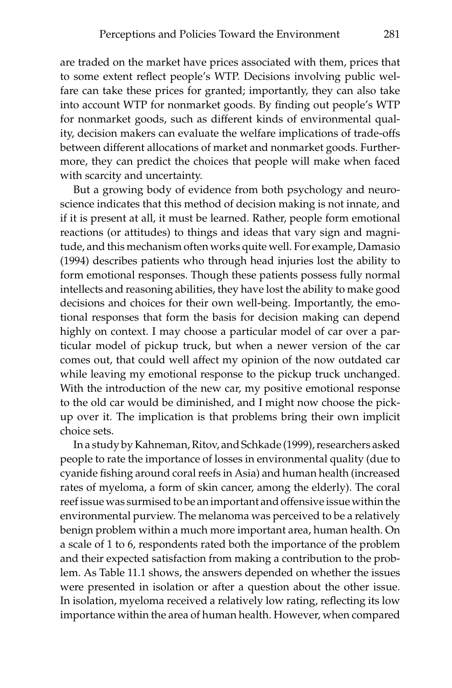are traded on the market have prices associated with them, prices that to some extent reflect people's WTP. Decisions involving public welfare can take these prices for granted; importantly, they can also take into account WTP for nonmarket goods. By finding out people's WTP for nonmarket goods, such as different kinds of environmental quality, decision makers can evaluate the welfare implications of trade-offs between different allocations of market and nonmarket goods. Furthermore, they can predict the choices that people will make when faced with scarcity and uncertainty.

But a growing body of evidence from both psychology and neuroscience indicates that this method of decision making is not innate, and if it is present at all, it must be learned. Rather, people form emotional reactions (or attitudes) to things and ideas that vary sign and magnitude, and this mechanism often works quite well. For example, Damasio (1994) describes patients who through head injuries lost the ability to form emotional responses. Though these patients possess fully normal intellects and reasoning abilities, they have lost the ability to make good decisions and choices for their own well-being. Importantly, the emotional responses that form the basis for decision making can depend highly on context. I may choose a particular model of car over a particular model of pickup truck, but when a newer version of the car comes out, that could well affect my opinion of the now outdated car while leaving my emotional response to the pickup truck unchanged. With the introduction of the new car, my positive emotional response to the old car would be diminished, and I might now choose the pickup over it. The implication is that problems bring their own implicit choice sets.

In a study by Kahneman, Ritov, and Schkade (1999), researchers asked people to rate the importance of losses in environmental quality (due to cyanide fishing around coral reefs in Asia) and human health (increased rates of myeloma, a form of skin cancer, among the elderly). The coral reef issue was surmised to be an important and offensive issue within the environmental purview. The melanoma was perceived to be a relatively benign problem within a much more important area, human health. On a scale of 1 to 6, respondents rated both the importance of the problem and their expected satisfaction from making a contribution to the problem. As Table 11.1 shows, the answers depended on whether the issues were presented in isolation or after a question about the other issue. In isolation, myeloma received a relatively low rating, reflecting its low importance within the area of human health. However, when compared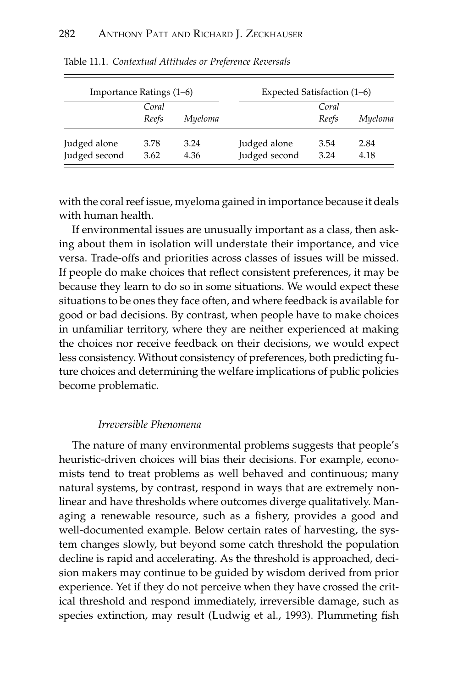| Importance Ratings (1–6)      |                |              | Expected Satisfaction (1–6)   |                |              |
|-------------------------------|----------------|--------------|-------------------------------|----------------|--------------|
|                               | Coral<br>Reefs | Myeloma      |                               | Coral<br>Reefs | Myeloma      |
| Judged alone<br>Judged second | 3.78<br>3.62   | 3.24<br>4.36 | Judged alone<br>Judged second | 3.54<br>3.24   | 2.84<br>4.18 |

with the coral reef issue, myeloma gained in importance because it deals with human health.

If environmental issues are unusually important as a class, then asking about them in isolation will understate their importance, and vice versa. Trade-offs and priorities across classes of issues will be missed. If people do make choices that reflect consistent preferences, it may be because they learn to do so in some situations. We would expect these situations to be ones they face often, and where feedback is available for good or bad decisions. By contrast, when people have to make choices in unfamiliar territory, where they are neither experienced at making the choices nor receive feedback on their decisions, we would expect less consistency. Without consistency of preferences, both predicting future choices and determining the welfare implications of public policies become problematic.

#### *Irreversible Phenomena*

The nature of many environmental problems suggests that people's heuristic-driven choices will bias their decisions. For example, economists tend to treat problems as well behaved and continuous; many natural systems, by contrast, respond in ways that are extremely nonlinear and have thresholds where outcomes diverge qualitatively. Managing a renewable resource, such as a fishery, provides a good and well-documented example. Below certain rates of harvesting, the system changes slowly, but beyond some catch threshold the population decline is rapid and accelerating. As the threshold is approached, decision makers may continue to be guided by wisdom derived from prior experience. Yet if they do not perceive when they have crossed the critical threshold and respond immediately, irreversible damage, such as species extinction, may result (Ludwig et al., 1993). Plummeting fish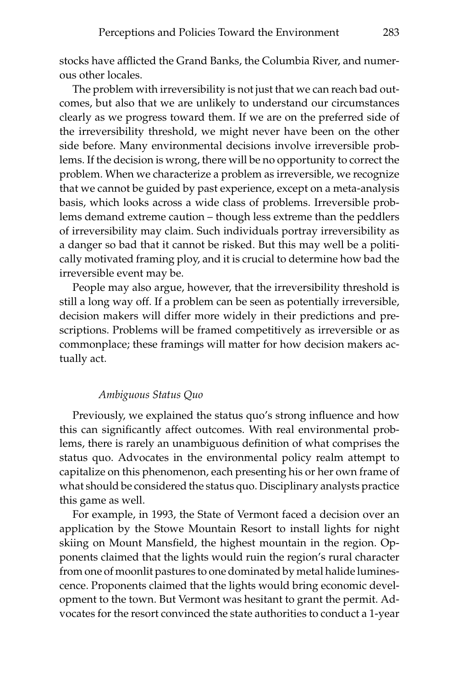stocks have afflicted the Grand Banks, the Columbia River, and numerous other locales.

The problem with irreversibility is not just that we can reach bad outcomes, but also that we are unlikely to understand our circumstances clearly as we progress toward them. If we are on the preferred side of the irreversibility threshold, we might never have been on the other side before. Many environmental decisions involve irreversible problems. If the decision is wrong, there will be no opportunity to correct the problem. When we characterize a problem as irreversible, we recognize that we cannot be guided by past experience, except on a meta-analysis basis, which looks across a wide class of problems. Irreversible problems demand extreme caution – though less extreme than the peddlers of irreversibility may claim. Such individuals portray irreversibility as a danger so bad that it cannot be risked. But this may well be a politically motivated framing ploy, and it is crucial to determine how bad the irreversible event may be.

People may also argue, however, that the irreversibility threshold is still a long way off. If a problem can be seen as potentially irreversible, decision makers will differ more widely in their predictions and prescriptions. Problems will be framed competitively as irreversible or as commonplace; these framings will matter for how decision makers actually act.

#### *Ambiguous Status Quo*

Previously, we explained the status quo's strong influence and how this can significantly affect outcomes. With real environmental problems, there is rarely an unambiguous definition of what comprises the status quo. Advocates in the environmental policy realm attempt to capitalize on this phenomenon, each presenting his or her own frame of what should be considered the status quo. Disciplinary analysts practice this game as well.

For example, in 1993, the State of Vermont faced a decision over an application by the Stowe Mountain Resort to install lights for night skiing on Mount Mansfield, the highest mountain in the region. Opponents claimed that the lights would ruin the region's rural character from one of moonlit pastures to one dominated by metal halide luminescence. Proponents claimed that the lights would bring economic development to the town. But Vermont was hesitant to grant the permit. Advocates for the resort convinced the state authorities to conduct a 1-year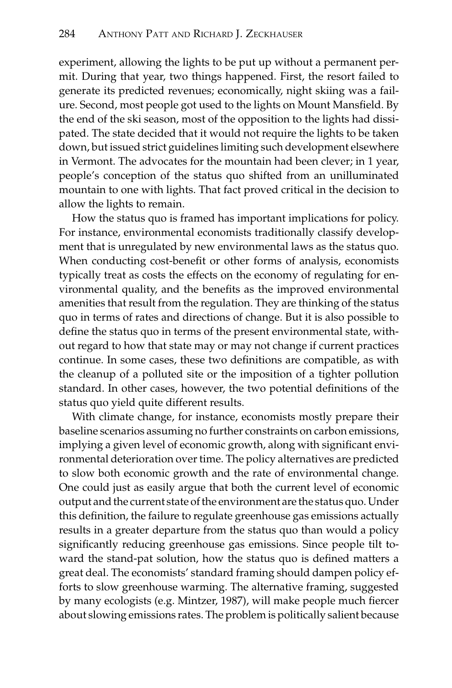experiment, allowing the lights to be put up without a permanent permit. During that year, two things happened. First, the resort failed to generate its predicted revenues; economically, night skiing was a failure. Second, most people got used to the lights on Mount Mansfield. By the end of the ski season, most of the opposition to the lights had dissipated. The state decided that it would not require the lights to be taken down, but issued strict guidelines limiting such development elsewhere in Vermont. The advocates for the mountain had been clever; in 1 year, people's conception of the status quo shifted from an unilluminated mountain to one with lights. That fact proved critical in the decision to allow the lights to remain.

How the status quo is framed has important implications for policy. For instance, environmental economists traditionally classify development that is unregulated by new environmental laws as the status quo. When conducting cost-benefit or other forms of analysis, economists typically treat as costs the effects on the economy of regulating for environmental quality, and the benefits as the improved environmental amenities that result from the regulation. They are thinking of the status quo in terms of rates and directions of change. But it is also possible to define the status quo in terms of the present environmental state, without regard to how that state may or may not change if current practices continue. In some cases, these two definitions are compatible, as with the cleanup of a polluted site or the imposition of a tighter pollution standard. In other cases, however, the two potential definitions of the status quo yield quite different results.

With climate change, for instance, economists mostly prepare their baseline scenarios assuming no further constraints on carbon emissions, implying a given level of economic growth, along with significant environmental deterioration over time. The policy alternatives are predicted to slow both economic growth and the rate of environmental change. One could just as easily argue that both the current level of economic output and the current state of the environment are the status quo. Under this definition, the failure to regulate greenhouse gas emissions actually results in a greater departure from the status quo than would a policy significantly reducing greenhouse gas emissions. Since people tilt toward the stand-pat solution, how the status quo is defined matters a great deal. The economists' standard framing should dampen policy efforts to slow greenhouse warming. The alternative framing, suggested by many ecologists (e.g. Mintzer, 1987), will make people much fiercer about slowing emissions rates. The problem is politically salient because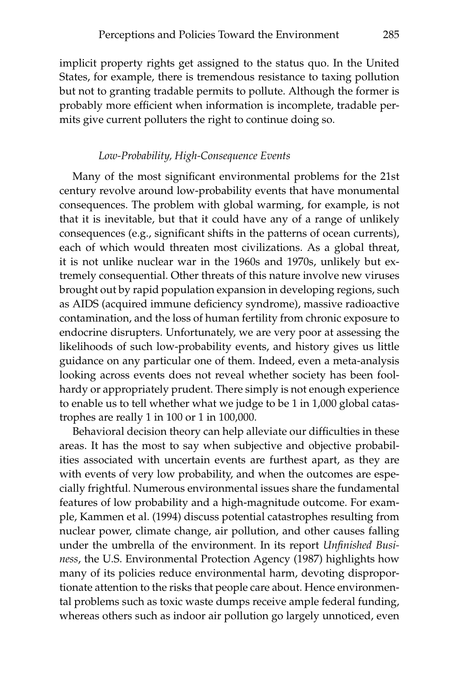implicit property rights get assigned to the status quo. In the United States, for example, there is tremendous resistance to taxing pollution but not to granting tradable permits to pollute. Although the former is probably more efficient when information is incomplete, tradable permits give current polluters the right to continue doing so.

#### *Low-Probability, High-Consequence Events*

Many of the most significant environmental problems for the 21st century revolve around low-probability events that have monumental consequences. The problem with global warming, for example, is not that it is inevitable, but that it could have any of a range of unlikely consequences (e.g., significant shifts in the patterns of ocean currents), each of which would threaten most civilizations. As a global threat, it is not unlike nuclear war in the 1960s and 1970s, unlikely but extremely consequential. Other threats of this nature involve new viruses brought out by rapid population expansion in developing regions, such as AIDS (acquired immune deficiency syndrome), massive radioactive contamination, and the loss of human fertility from chronic exposure to endocrine disrupters. Unfortunately, we are very poor at assessing the likelihoods of such low-probability events, and history gives us little guidance on any particular one of them. Indeed, even a meta-analysis looking across events does not reveal whether society has been foolhardy or appropriately prudent. There simply is not enough experience to enable us to tell whether what we judge to be 1 in 1,000 global catastrophes are really 1 in 100 or 1 in 100,000.

Behavioral decision theory can help alleviate our difficulties in these areas. It has the most to say when subjective and objective probabilities associated with uncertain events are furthest apart, as they are with events of very low probability, and when the outcomes are especially frightful. Numerous environmental issues share the fundamental features of low probability and a high-magnitude outcome. For example, Kammen et al. (1994) discuss potential catastrophes resulting from nuclear power, climate change, air pollution, and other causes falling under the umbrella of the environment. In its report *Unfinished Business*, the U.S. Environmental Protection Agency (1987) highlights how many of its policies reduce environmental harm, devoting disproportionate attention to the risks that people care about. Hence environmental problems such as toxic waste dumps receive ample federal funding, whereas others such as indoor air pollution go largely unnoticed, even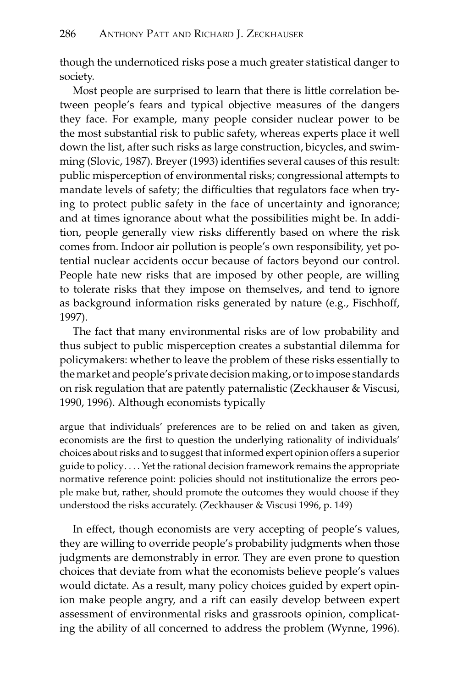though the undernoticed risks pose a much greater statistical danger to society.

Most people are surprised to learn that there is little correlation between people's fears and typical objective measures of the dangers they face. For example, many people consider nuclear power to be the most substantial risk to public safety, whereas experts place it well down the list, after such risks as large construction, bicycles, and swimming (Slovic, 1987). Breyer (1993) identifies several causes of this result: public misperception of environmental risks; congressional attempts to mandate levels of safety; the difficulties that regulators face when trying to protect public safety in the face of uncertainty and ignorance; and at times ignorance about what the possibilities might be. In addition, people generally view risks differently based on where the risk comes from. Indoor air pollution is people's own responsibility, yet potential nuclear accidents occur because of factors beyond our control. People hate new risks that are imposed by other people, are willing to tolerate risks that they impose on themselves, and tend to ignore as background information risks generated by nature (e.g., Fischhoff, 1997).

The fact that many environmental risks are of low probability and thus subject to public misperception creates a substantial dilemma for policymakers: whether to leave the problem of these risks essentially to the market and people's private decision making, or to impose standards on risk regulation that are patently paternalistic (Zeckhauser & Viscusi, 1990, 1996). Although economists typically

argue that individuals' preferences are to be relied on and taken as given, economists are the first to question the underlying rationality of individuals' choices about risks and to suggest that informed expert opinion offers a superior guide to policy... . Yet the rational decision framework remains the appropriate normative reference point: policies should not institutionalize the errors people make but, rather, should promote the outcomes they would choose if they understood the risks accurately. (Zeckhauser & Viscusi 1996, p. 149)

In effect, though economists are very accepting of people's values, they are willing to override people's probability judgments when those judgments are demonstrably in error. They are even prone to question choices that deviate from what the economists believe people's values would dictate. As a result, many policy choices guided by expert opinion make people angry, and a rift can easily develop between expert assessment of environmental risks and grassroots opinion, complicating the ability of all concerned to address the problem (Wynne, 1996).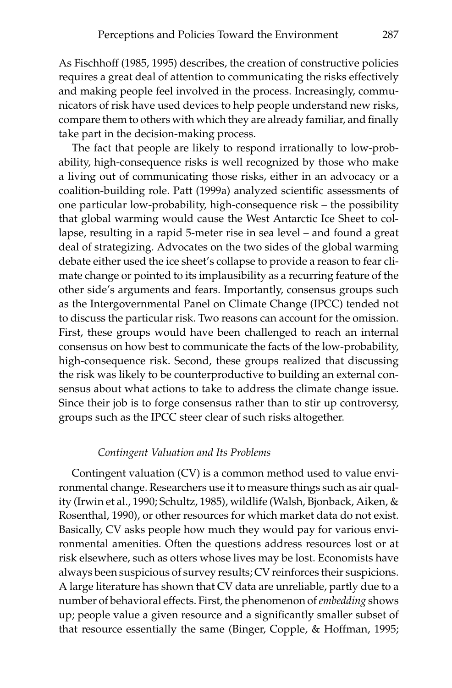As Fischhoff (1985, 1995) describes, the creation of constructive policies requires a great deal of attention to communicating the risks effectively and making people feel involved in the process. Increasingly, communicators of risk have used devices to help people understand new risks, compare them to others with which they are already familiar, and finally take part in the decision-making process.

The fact that people are likely to respond irrationally to low-probability, high-consequence risks is well recognized by those who make a living out of communicating those risks, either in an advocacy or a coalition-building role. Patt (1999a) analyzed scientific assessments of one particular low-probability, high-consequence risk – the possibility that global warming would cause the West Antarctic Ice Sheet to collapse, resulting in a rapid 5-meter rise in sea level – and found a great deal of strategizing. Advocates on the two sides of the global warming debate either used the ice sheet's collapse to provide a reason to fear climate change or pointed to its implausibility as a recurring feature of the other side's arguments and fears. Importantly, consensus groups such as the Intergovernmental Panel on Climate Change (IPCC) tended not to discuss the particular risk. Two reasons can account for the omission. First, these groups would have been challenged to reach an internal consensus on how best to communicate the facts of the low-probability, high-consequence risk. Second, these groups realized that discussing the risk was likely to be counterproductive to building an external consensus about what actions to take to address the climate change issue. Since their job is to forge consensus rather than to stir up controversy, groups such as the IPCC steer clear of such risks altogether.

## *Contingent Valuation and Its Problems*

Contingent valuation (CV) is a common method used to value environmental change. Researchers use it to measure things such as air quality (Irwin et al., 1990; Schultz, 1985), wildlife (Walsh, Bjonback, Aiken, & Rosenthal, 1990), or other resources for which market data do not exist. Basically, CV asks people how much they would pay for various environmental amenities. Often the questions address resources lost or at risk elsewhere, such as otters whose lives may be lost. Economists have always been suspicious of survey results; CV reinforces their suspicions. A large literature has shown that CV data are unreliable, partly due to a number of behavioral effects. First, the phenomenon of*embedding* shows up; people value a given resource and a significantly smaller subset of that resource essentially the same (Binger, Copple, & Hoffman, 1995;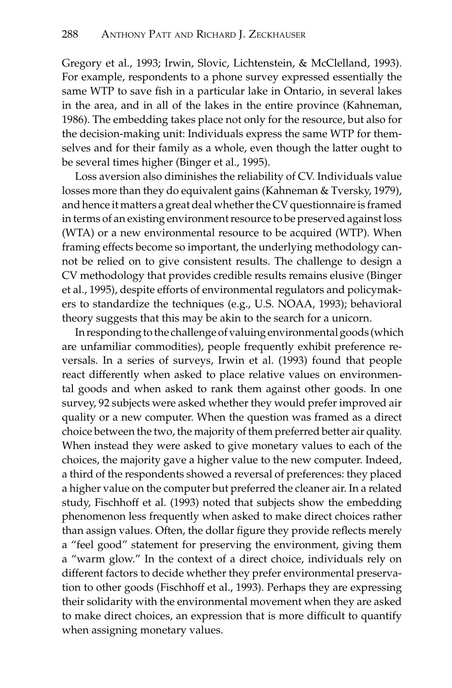Gregory et al., 1993; Irwin, Slovic, Lichtenstein, & McClelland, 1993). For example, respondents to a phone survey expressed essentially the same WTP to save fish in a particular lake in Ontario, in several lakes in the area, and in all of the lakes in the entire province (Kahneman, 1986). The embedding takes place not only for the resource, but also for the decision-making unit: Individuals express the same WTP for themselves and for their family as a whole, even though the latter ought to be several times higher (Binger et al., 1995).

Loss aversion also diminishes the reliability of CV. Individuals value losses more than they do equivalent gains (Kahneman & Tversky, 1979), and hence it matters a great deal whether the CV questionnaire is framed in terms of an existing environment resource to be preserved against loss (WTA) or a new environmental resource to be acquired (WTP). When framing effects become so important, the underlying methodology cannot be relied on to give consistent results. The challenge to design a CV methodology that provides credible results remains elusive (Binger et al., 1995), despite efforts of environmental regulators and policymakers to standardize the techniques (e.g., U.S. NOAA, 1993); behavioral theory suggests that this may be akin to the search for a unicorn.

In responding to the challenge of valuing environmental goods (which are unfamiliar commodities), people frequently exhibit preference reversals. In a series of surveys, Irwin et al. (1993) found that people react differently when asked to place relative values on environmental goods and when asked to rank them against other goods. In one survey, 92 subjects were asked whether they would prefer improved air quality or a new computer. When the question was framed as a direct choice between the two, the majority of them preferred better air quality. When instead they were asked to give monetary values to each of the choices, the majority gave a higher value to the new computer. Indeed, a third of the respondents showed a reversal of preferences: they placed a higher value on the computer but preferred the cleaner air. In a related study, Fischhoff et al. (1993) noted that subjects show the embedding phenomenon less frequently when asked to make direct choices rather than assign values. Often, the dollar figure they provide reflects merely a "feel good" statement for preserving the environment, giving them a "warm glow." In the context of a direct choice, individuals rely on different factors to decide whether they prefer environmental preservation to other goods (Fischhoff et al., 1993). Perhaps they are expressing their solidarity with the environmental movement when they are asked to make direct choices, an expression that is more difficult to quantify when assigning monetary values.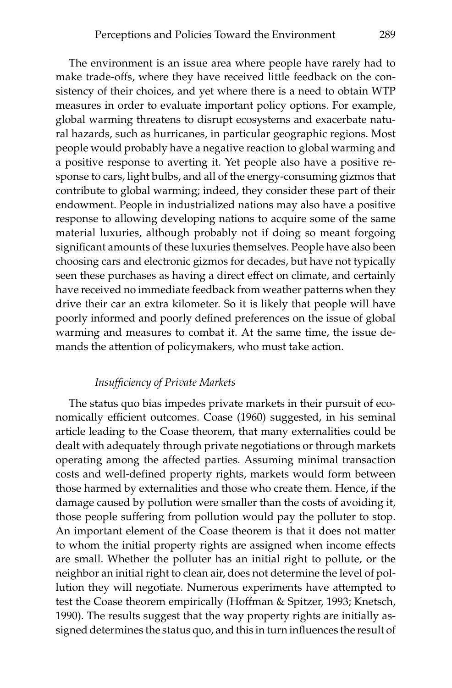The environment is an issue area where people have rarely had to make trade-offs, where they have received little feedback on the consistency of their choices, and yet where there is a need to obtain WTP measures in order to evaluate important policy options. For example, global warming threatens to disrupt ecosystems and exacerbate natural hazards, such as hurricanes, in particular geographic regions. Most people would probably have a negative reaction to global warming and a positive response to averting it. Yet people also have a positive response to cars, light bulbs, and all of the energy-consuming gizmos that contribute to global warming; indeed, they consider these part of their endowment. People in industrialized nations may also have a positive response to allowing developing nations to acquire some of the same material luxuries, although probably not if doing so meant forgoing significant amounts of these luxuries themselves. People have also been choosing cars and electronic gizmos for decades, but have not typically seen these purchases as having a direct effect on climate, and certainly have received no immediate feedback from weather patterns when they drive their car an extra kilometer. So it is likely that people will have poorly informed and poorly defined preferences on the issue of global warming and measures to combat it. At the same time, the issue demands the attention of policymakers, who must take action.

## *Insufficiency of Private Markets*

The status quo bias impedes private markets in their pursuit of economically efficient outcomes. Coase (1960) suggested, in his seminal article leading to the Coase theorem, that many externalities could be dealt with adequately through private negotiations or through markets operating among the affected parties. Assuming minimal transaction costs and well-defined property rights, markets would form between those harmed by externalities and those who create them. Hence, if the damage caused by pollution were smaller than the costs of avoiding it, those people suffering from pollution would pay the polluter to stop. An important element of the Coase theorem is that it does not matter to whom the initial property rights are assigned when income effects are small. Whether the polluter has an initial right to pollute, or the neighbor an initial right to clean air, does not determine the level of pollution they will negotiate. Numerous experiments have attempted to test the Coase theorem empirically (Hoffman & Spitzer, 1993; Knetsch, 1990). The results suggest that the way property rights are initially assigned determines the status quo, and this in turn influences the result of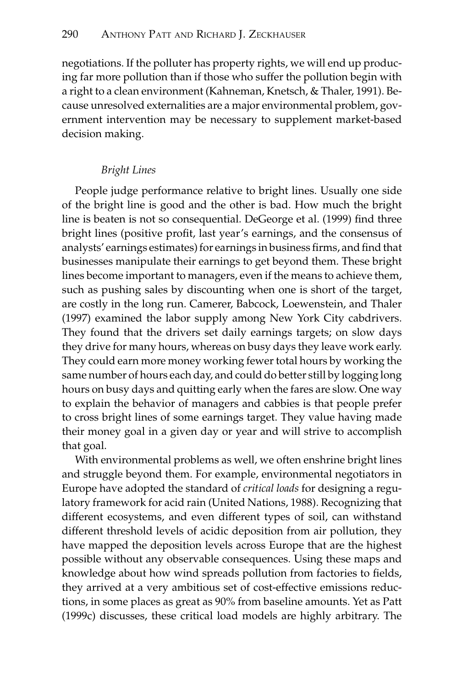negotiations. If the polluter has property rights, we will end up producing far more pollution than if those who suffer the pollution begin with a right to a clean environment (Kahneman, Knetsch, & Thaler, 1991). Because unresolved externalities are a major environmental problem, government intervention may be necessary to supplement market-based decision making.

## *Bright Lines*

People judge performance relative to bright lines. Usually one side of the bright line is good and the other is bad. How much the bright line is beaten is not so consequential. DeGeorge et al. (1999) find three bright lines (positive profit, last year's earnings, and the consensus of analysts' earnings estimates) for earnings in business firms, and find that businesses manipulate their earnings to get beyond them. These bright lines become important to managers, even if the means to achieve them, such as pushing sales by discounting when one is short of the target, are costly in the long run. Camerer, Babcock, Loewenstein, and Thaler (1997) examined the labor supply among New York City cabdrivers. They found that the drivers set daily earnings targets; on slow days they drive for many hours, whereas on busy days they leave work early. They could earn more money working fewer total hours by working the same number of hours each day, and could do better still by logging long hours on busy days and quitting early when the fares are slow. One way to explain the behavior of managers and cabbies is that people prefer to cross bright lines of some earnings target. They value having made their money goal in a given day or year and will strive to accomplish that goal.

With environmental problems as well, we often enshrine bright lines and struggle beyond them. For example, environmental negotiators in Europe have adopted the standard of *critical loads* for designing a regulatory framework for acid rain (United Nations, 1988). Recognizing that different ecosystems, and even different types of soil, can withstand different threshold levels of acidic deposition from air pollution, they have mapped the deposition levels across Europe that are the highest possible without any observable consequences. Using these maps and knowledge about how wind spreads pollution from factories to fields, they arrived at a very ambitious set of cost-effective emissions reductions, in some places as great as 90% from baseline amounts. Yet as Patt (1999c) discusses, these critical load models are highly arbitrary. The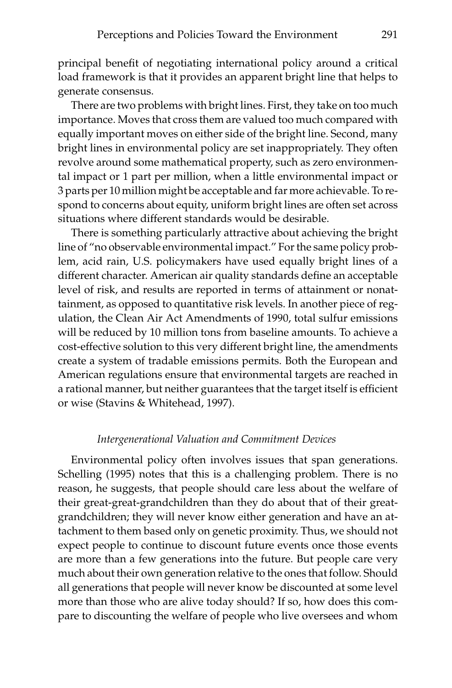principal benefit of negotiating international policy around a critical load framework is that it provides an apparent bright line that helps to generate consensus.

There are two problems with bright lines. First, they take on too much importance. Moves that cross them are valued too much compared with equally important moves on either side of the bright line. Second, many bright lines in environmental policy are set inappropriately. They often revolve around some mathematical property, such as zero environmental impact or 1 part per million, when a little environmental impact or 3 parts per 10 million might be acceptable and far more achievable. To respond to concerns about equity, uniform bright lines are often set across situations where different standards would be desirable.

There is something particularly attractive about achieving the bright line of "no observable environmental impact." For the same policy problem, acid rain, U.S. policymakers have used equally bright lines of a different character. American air quality standards define an acceptable level of risk, and results are reported in terms of attainment or nonattainment, as opposed to quantitative risk levels. In another piece of regulation, the Clean Air Act Amendments of 1990, total sulfur emissions will be reduced by 10 million tons from baseline amounts. To achieve a cost-effective solution to this very different bright line, the amendments create a system of tradable emissions permits. Both the European and American regulations ensure that environmental targets are reached in a rational manner, but neither guarantees that the target itself is efficient or wise (Stavins & Whitehead, 1997).

## *Intergenerational Valuation and Commitment Devices*

Environmental policy often involves issues that span generations. Schelling (1995) notes that this is a challenging problem. There is no reason, he suggests, that people should care less about the welfare of their great-great-grandchildren than they do about that of their greatgrandchildren; they will never know either generation and have an attachment to them based only on genetic proximity. Thus, we should not expect people to continue to discount future events once those events are more than a few generations into the future. But people care very much about their own generation relative to the ones that follow. Should all generations that people will never know be discounted at some level more than those who are alive today should? If so, how does this compare to discounting the welfare of people who live oversees and whom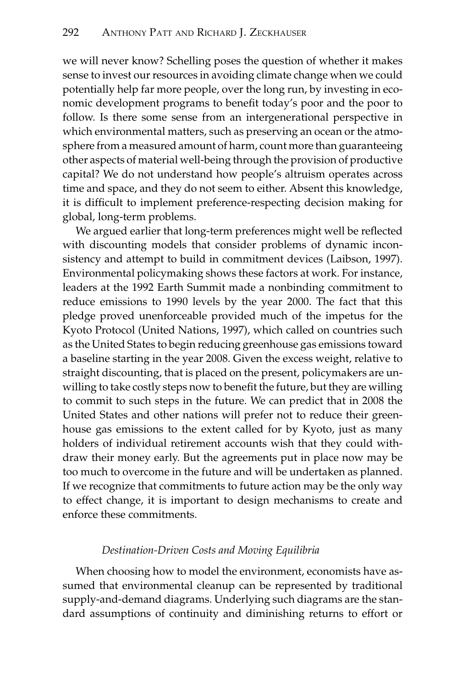we will never know? Schelling poses the question of whether it makes sense to invest our resources in avoiding climate change when we could potentially help far more people, over the long run, by investing in economic development programs to benefit today's poor and the poor to follow. Is there some sense from an intergenerational perspective in which environmental matters, such as preserving an ocean or the atmosphere from a measured amount of harm, count more than guaranteeing other aspects of material well-being through the provision of productive capital? We do not understand how people's altruism operates across time and space, and they do not seem to either. Absent this knowledge, it is difficult to implement preference-respecting decision making for global, long-term problems.

We argued earlier that long-term preferences might well be reflected with discounting models that consider problems of dynamic inconsistency and attempt to build in commitment devices (Laibson, 1997). Environmental policymaking shows these factors at work. For instance, leaders at the 1992 Earth Summit made a nonbinding commitment to reduce emissions to 1990 levels by the year 2000. The fact that this pledge proved unenforceable provided much of the impetus for the Kyoto Protocol (United Nations, 1997), which called on countries such as the United States to begin reducing greenhouse gas emissions toward a baseline starting in the year 2008. Given the excess weight, relative to straight discounting, that is placed on the present, policymakers are unwilling to take costly steps now to benefit the future, but they are willing to commit to such steps in the future. We can predict that in 2008 the United States and other nations will prefer not to reduce their greenhouse gas emissions to the extent called for by Kyoto, just as many holders of individual retirement accounts wish that they could withdraw their money early. But the agreements put in place now may be too much to overcome in the future and will be undertaken as planned. If we recognize that commitments to future action may be the only way to effect change, it is important to design mechanisms to create and enforce these commitments.

## *Destination-Driven Costs and Moving Equilibria*

When choosing how to model the environment, economists have assumed that environmental cleanup can be represented by traditional supply-and-demand diagrams. Underlying such diagrams are the standard assumptions of continuity and diminishing returns to effort or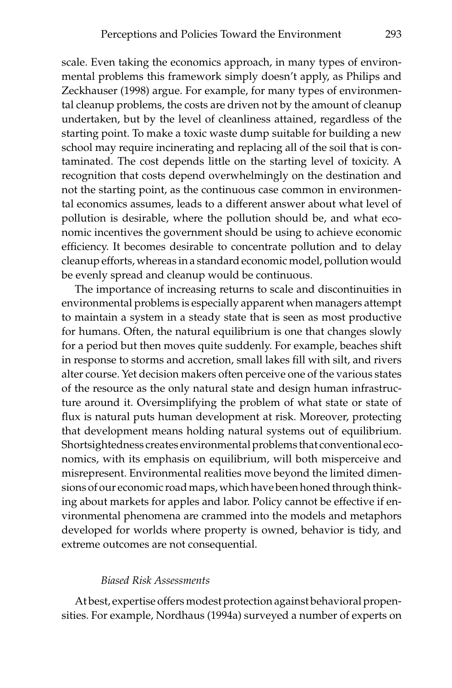scale. Even taking the economics approach, in many types of environmental problems this framework simply doesn't apply, as Philips and Zeckhauser (1998) argue. For example, for many types of environmental cleanup problems, the costs are driven not by the amount of cleanup undertaken, but by the level of cleanliness attained, regardless of the starting point. To make a toxic waste dump suitable for building a new school may require incinerating and replacing all of the soil that is contaminated. The cost depends little on the starting level of toxicity. A recognition that costs depend overwhelmingly on the destination and not the starting point, as the continuous case common in environmental economics assumes, leads to a different answer about what level of pollution is desirable, where the pollution should be, and what economic incentives the government should be using to achieve economic efficiency. It becomes desirable to concentrate pollution and to delay cleanup efforts, whereas in a standard economic model, pollution would be evenly spread and cleanup would be continuous.

The importance of increasing returns to scale and discontinuities in environmental problems is especially apparent when managers attempt to maintain a system in a steady state that is seen as most productive for humans. Often, the natural equilibrium is one that changes slowly for a period but then moves quite suddenly. For example, beaches shift in response to storms and accretion, small lakes fill with silt, and rivers alter course. Yet decision makers often perceive one of the various states of the resource as the only natural state and design human infrastructure around it. Oversimplifying the problem of what state or state of flux is natural puts human development at risk. Moreover, protecting that development means holding natural systems out of equilibrium. Shortsightedness creates environmental problems that conventional economics, with its emphasis on equilibrium, will both misperceive and misrepresent. Environmental realities move beyond the limited dimensions of our economic road maps, which have been honed through thinking about markets for apples and labor. Policy cannot be effective if environmental phenomena are crammed into the models and metaphors developed for worlds where property is owned, behavior is tidy, and extreme outcomes are not consequential.

#### *Biased Risk Assessments*

At best, expertise offers modest protection against behavioral propensities. For example, Nordhaus (1994a) surveyed a number of experts on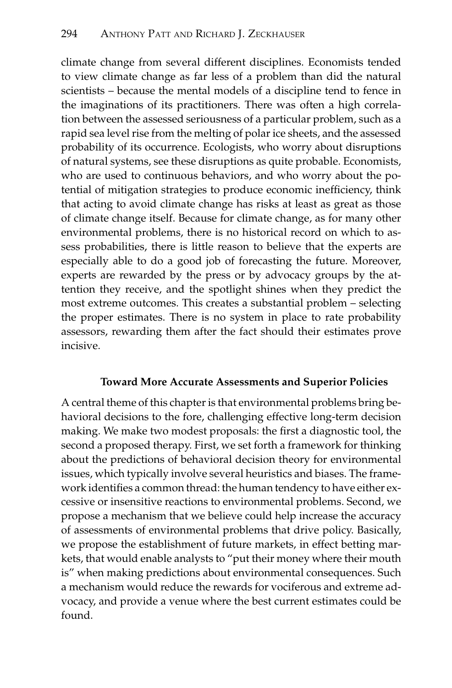climate change from several different disciplines. Economists tended to view climate change as far less of a problem than did the natural scientists – because the mental models of a discipline tend to fence in the imaginations of its practitioners. There was often a high correlation between the assessed seriousness of a particular problem, such as a rapid sea level rise from the melting of polar ice sheets, and the assessed probability of its occurrence. Ecologists, who worry about disruptions of natural systems, see these disruptions as quite probable. Economists, who are used to continuous behaviors, and who worry about the potential of mitigation strategies to produce economic inefficiency, think that acting to avoid climate change has risks at least as great as those of climate change itself. Because for climate change, as for many other environmental problems, there is no historical record on which to assess probabilities, there is little reason to believe that the experts are especially able to do a good job of forecasting the future. Moreover, experts are rewarded by the press or by advocacy groups by the attention they receive, and the spotlight shines when they predict the most extreme outcomes. This creates a substantial problem – selecting the proper estimates. There is no system in place to rate probability assessors, rewarding them after the fact should their estimates prove incisive.

# **Toward More Accurate Assessments and Superior Policies**

A central theme of this chapter is that environmental problems bring behavioral decisions to the fore, challenging effective long-term decision making. We make two modest proposals: the first a diagnostic tool, the second a proposed therapy. First, we set forth a framework for thinking about the predictions of behavioral decision theory for environmental issues, which typically involve several heuristics and biases. The framework identifies a common thread: the human tendency to have either excessive or insensitive reactions to environmental problems. Second, we propose a mechanism that we believe could help increase the accuracy of assessments of environmental problems that drive policy. Basically, we propose the establishment of future markets, in effect betting markets, that would enable analysts to "put their money where their mouth is" when making predictions about environmental consequences. Such a mechanism would reduce the rewards for vociferous and extreme advocacy, and provide a venue where the best current estimates could be found.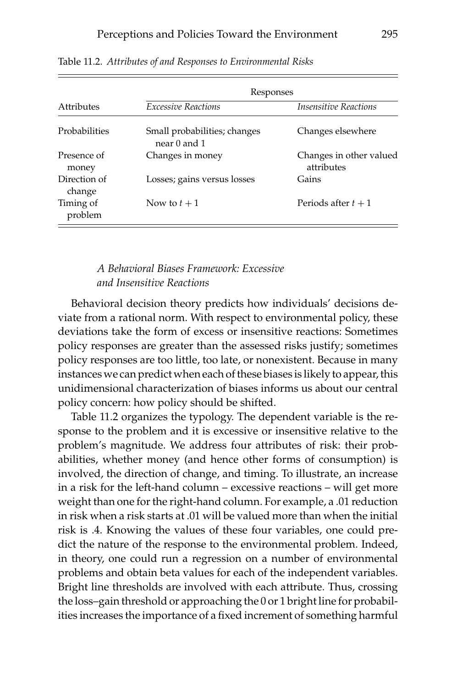|                        | Responses                                        |                                       |  |  |
|------------------------|--------------------------------------------------|---------------------------------------|--|--|
| <b>Attributes</b>      | <b>Excessive Reactions</b>                       | <b>Insensitive Reactions</b>          |  |  |
| Probabilities          | Small probabilities; changes<br>near $0$ and $1$ | Changes elsewhere                     |  |  |
| Presence of<br>money   | Changes in money                                 | Changes in other valued<br>attributes |  |  |
| Direction of<br>change | Losses; gains versus losses                      | Gains                                 |  |  |
| Timing of<br>problem   | Now to $t+1$                                     | Periods after $t+1$                   |  |  |

Table 11.2. *Attributes of and Responses to Environmental Risks*

## *A Behavioral Biases Framework: Excessive and Insensitive Reactions*

Behavioral decision theory predicts how individuals' decisions deviate from a rational norm. With respect to environmental policy, these deviations take the form of excess or insensitive reactions: Sometimes policy responses are greater than the assessed risks justify; sometimes policy responses are too little, too late, or nonexistent. Because in many instances we can predict when each of these biases is likely to appear, this unidimensional characterization of biases informs us about our central policy concern: how policy should be shifted.

Table 11.2 organizes the typology. The dependent variable is the response to the problem and it is excessive or insensitive relative to the problem's magnitude. We address four attributes of risk: their probabilities, whether money (and hence other forms of consumption) is involved, the direction of change, and timing. To illustrate, an increase in a risk for the left-hand column – excessive reactions – will get more weight than one for the right-hand column. For example, a .01 reduction in risk when a risk starts at .01 will be valued more than when the initial risk is .4. Knowing the values of these four variables, one could predict the nature of the response to the environmental problem. Indeed, in theory, one could run a regression on a number of environmental problems and obtain beta values for each of the independent variables. Bright line thresholds are involved with each attribute. Thus, crossing the loss–gain threshold or approaching the 0 or 1 bright line for probabilities increases the importance of a fixed increment of something harmful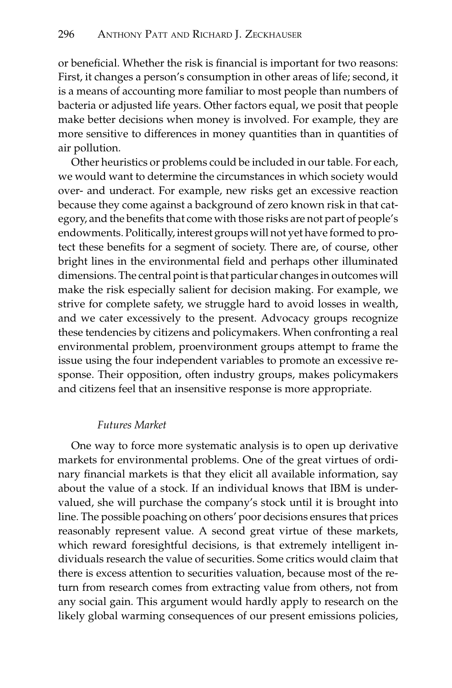or beneficial. Whether the risk is financial is important for two reasons: First, it changes a person's consumption in other areas of life; second, it is a means of accounting more familiar to most people than numbers of bacteria or adjusted life years. Other factors equal, we posit that people make better decisions when money is involved. For example, they are more sensitive to differences in money quantities than in quantities of air pollution.

Other heuristics or problems could be included in our table. For each, we would want to determine the circumstances in which society would over- and underact. For example, new risks get an excessive reaction because they come against a background of zero known risk in that category, and the benefits that come with those risks are not part of people's endowments. Politically, interest groups will not yet have formed to protect these benefits for a segment of society. There are, of course, other bright lines in the environmental field and perhaps other illuminated dimensions. The central point is that particular changes in outcomes will make the risk especially salient for decision making. For example, we strive for complete safety, we struggle hard to avoid losses in wealth, and we cater excessively to the present. Advocacy groups recognize these tendencies by citizens and policymakers. When confronting a real environmental problem, proenvironment groups attempt to frame the issue using the four independent variables to promote an excessive response. Their opposition, often industry groups, makes policymakers and citizens feel that an insensitive response is more appropriate.

#### *Futures Market*

One way to force more systematic analysis is to open up derivative markets for environmental problems. One of the great virtues of ordinary financial markets is that they elicit all available information, say about the value of a stock. If an individual knows that IBM is undervalued, she will purchase the company's stock until it is brought into line. The possible poaching on others' poor decisions ensures that prices reasonably represent value. A second great virtue of these markets, which reward foresightful decisions, is that extremely intelligent individuals research the value of securities. Some critics would claim that there is excess attention to securities valuation, because most of the return from research comes from extracting value from others, not from any social gain. This argument would hardly apply to research on the likely global warming consequences of our present emissions policies,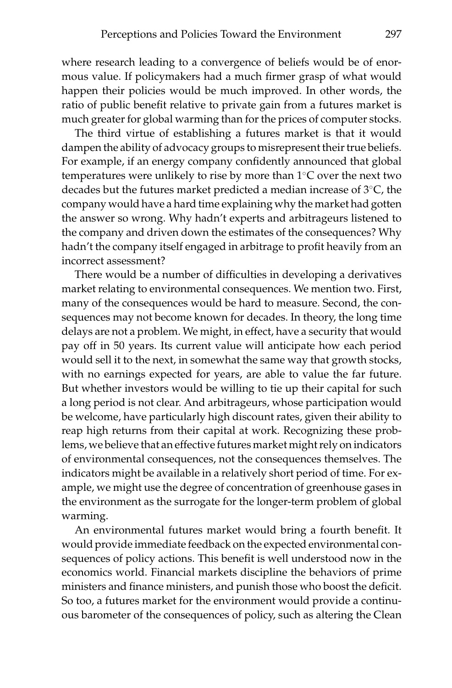where research leading to a convergence of beliefs would be of enormous value. If policymakers had a much firmer grasp of what would happen their policies would be much improved. In other words, the ratio of public benefit relative to private gain from a futures market is much greater for global warming than for the prices of computer stocks.

The third virtue of establishing a futures market is that it would dampen the ability of advocacy groups to misrepresent their true beliefs. For example, if an energy company confidently announced that global temperatures were unlikely to rise by more than 1◦C over the next two decades but the futures market predicted a median increase of 3◦C, the company would have a hard time explaining why the market had gotten the answer so wrong. Why hadn't experts and arbitrageurs listened to the company and driven down the estimates of the consequences? Why hadn't the company itself engaged in arbitrage to profit heavily from an incorrect assessment?

There would be a number of difficulties in developing a derivatives market relating to environmental consequences. We mention two. First, many of the consequences would be hard to measure. Second, the consequences may not become known for decades. In theory, the long time delays are not a problem. We might, in effect, have a security that would pay off in 50 years. Its current value will anticipate how each period would sell it to the next, in somewhat the same way that growth stocks, with no earnings expected for years, are able to value the far future. But whether investors would be willing to tie up their capital for such a long period is not clear. And arbitrageurs, whose participation would be welcome, have particularly high discount rates, given their ability to reap high returns from their capital at work. Recognizing these problems, we believe that an effective futures market might rely on indicators of environmental consequences, not the consequences themselves. The indicators might be available in a relatively short period of time. For example, we might use the degree of concentration of greenhouse gases in the environment as the surrogate for the longer-term problem of global warming.

An environmental futures market would bring a fourth benefit. It would provide immediate feedback on the expected environmental consequences of policy actions. This benefit is well understood now in the economics world. Financial markets discipline the behaviors of prime ministers and finance ministers, and punish those who boost the deficit. So too, a futures market for the environment would provide a continuous barometer of the consequences of policy, such as altering the Clean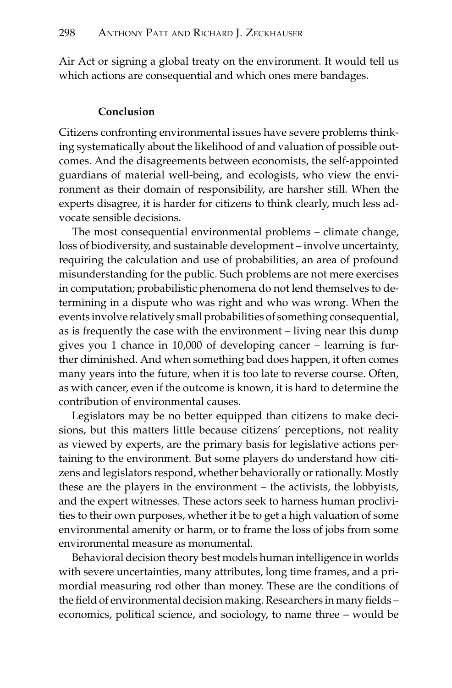Air Act or signing a global treaty on the environment. It would tell us which actions are consequential and which ones mere bandages.

#### **Conclusion**

Citizens confronting environmental issues have severe problems thinking systematically about the likelihood of and valuation of possible outcomes. And the disagreements between economists, the self-appointed guardians of material well-being, and ecologists, who view the environment as their domain of responsibility, are harsher still. When the experts disagree, it is harder for citizens to think clearly, much less advocate sensible decisions.

The most consequential environmental problems – climate change, loss of biodiversity, and sustainable development – involve uncertainty, requiring the calculation and use of probabilities, an area of profound misunderstanding for the public. Such problems are not mere exercises in computation; probabilistic phenomena do not lend themselves to determining in a dispute who was right and who was wrong. When the events involve relatively small probabilities of something consequential, as is frequently the case with the environment – living near this dump gives you 1 chance in 10,000 of developing cancer – learning is further diminished. And when something bad does happen, it often comes many years into the future, when it is too late to reverse course. Often, as with cancer, even if the outcome is known, it is hard to determine the contribution of environmental causes.

Legislators may be no better equipped than citizens to make decisions, but this matters little because citizens' perceptions, not reality as viewed by experts, are the primary basis for legislative actions pertaining to the environment. But some players do understand how citizens and legislators respond, whether behaviorally or rationally. Mostly these are the players in the environment – the activists, the lobbyists, and the expert witnesses. These actors seek to harness human proclivities to their own purposes, whether it be to get a high valuation of some environmental amenity or harm, or to frame the loss of jobs from some environmental measure as monumental.

Behavioral decision theory best models human intelligence in worlds with severe uncertainties, many attributes, long time frames, and a primordial measuring rod other than money. These are the conditions of the field of environmental decision making. Researchers in many fields – economics, political science, and sociology, to name three – would be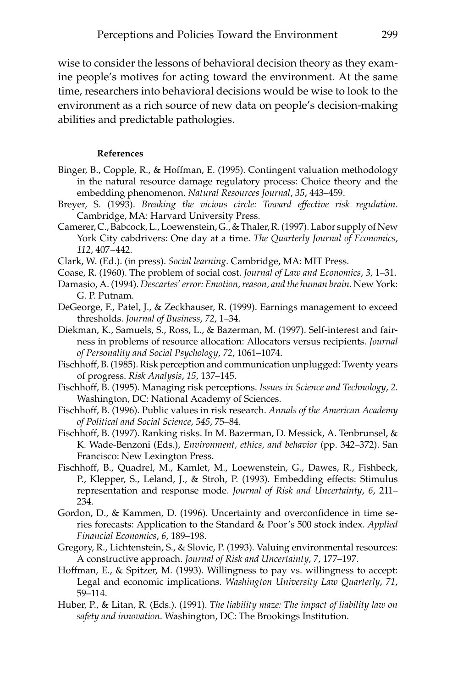wise to consider the lessons of behavioral decision theory as they examine people's motives for acting toward the environment. At the same time, researchers into behavioral decisions would be wise to look to the environment as a rich source of new data on people's decision-making abilities and predictable pathologies.

#### **References**

- Binger, B., Copple, R., & Hoffman, E. (1995). Contingent valuation methodology in the natural resource damage regulatory process: Choice theory and the embedding phenomenon. *Natural Resources Journal*, *35*, 443–459.
- Breyer, S. (1993). *Breaking the vicious circle: Toward effective risk regulation*. Cambridge, MA: Harvard University Press.
- Camerer, C., Babcock, L., Loewenstein, G., & Thaler, R. (1997). Labor supply of New York City cabdrivers: One day at a time. *The Quarterly Journal of Economics*, *112*, 407–442.
- Clark, W. (Ed.). (in press). *Social learning*. Cambridge, MA: MIT Press.
- Coase, R. (1960). The problem of social cost. *Journal of Law and Economics*, *3*, 1–31.
- Damasio, A. (1994). *Descartes'error: Emotion, reason, and the human brain*. New York: G. P. Putnam.
- DeGeorge, F., Patel, J., & Zeckhauser, R. (1999). Earnings management to exceed thresholds. *Journal of Business*, *72*, 1–34.
- Diekman, K., Samuels, S., Ross, L., & Bazerman, M. (1997). Self-interest and fairness in problems of resource allocation: Allocators versus recipients. *Journal of Personality and Social Psychology*, *72*, 1061–1074.
- Fischhoff, B. (1985). Risk perception and communication unplugged: Twenty years of progress. *Risk Analysis*, *15*, 137–145.
- Fischhoff, B. (1995). Managing risk perceptions. *Issues in Science and Technology*, *2*. Washington, DC: National Academy of Sciences.
- Fischhoff, B. (1996). Public values in risk research. *Annals of the American Academy of Political and Social Science*, *545*, 75–84.
- Fischhoff, B. (1997). Ranking risks. In M. Bazerman, D. Messick, A. Tenbrunsel, & K. Wade-Benzoni (Eds.), *Environment, ethics, and behavior* (pp. 342–372). San Francisco: New Lexington Press.
- Fischhoff, B., Quadrel, M., Kamlet, M., Loewenstein, G., Dawes, R., Fishbeck, P., Klepper, S., Leland, J., & Stroh, P. (1993). Embedding effects: Stimulus representation and response mode. *Journal of Risk and Uncertainty*, *6*, 211– 234.
- Gordon, D., & Kammen, D. (1996). Uncertainty and overconfidence in time series forecasts: Application to the Standard & Poor's 500 stock index. *Applied Financial Economics*, *6*, 189–198.
- Gregory, R., Lichtenstein, S., & Slovic, P. (1993). Valuing environmental resources: A constructive approach. *Journal of Risk and Uncertainty*, *7*, 177–197.
- Hoffman, E., & Spitzer, M. (1993). Willingness to pay vs. willingness to accept: Legal and economic implications. *Washington University Law Quarterly*, *71*, 59–114.
- Huber, P., & Litan, R. (Eds.). (1991). *The liability maze: The impact of liability law on safety and innovation*. Washington, DC: The Brookings Institution.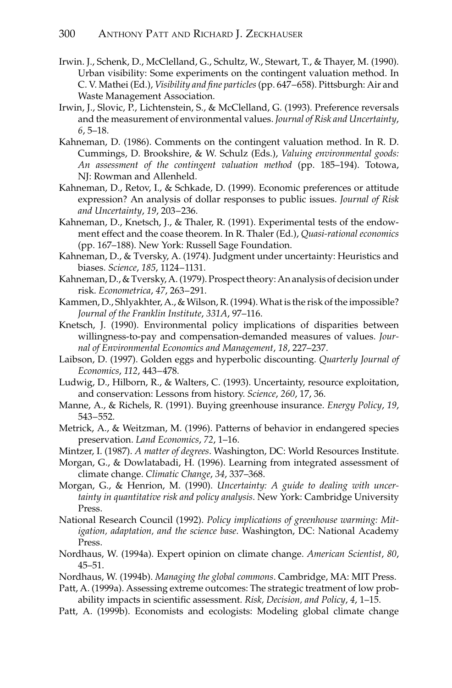- Irwin. J., Schenk, D., McClelland, G., Schultz, W., Stewart, T., & Thayer, M. (1990). Urban visibility: Some experiments on the contingent valuation method. In C. V. Mathei (Ed.), *Visibility and fine particles*(pp. 647–658). Pittsburgh: Air and Waste Management Association.
- Irwin, J., Slovic, P., Lichtenstein, S., & McClelland, G. (1993). Preference reversals and the measurement of environmental values. *Journal of Risk and Uncertainty*, *6*, 5–18.
- Kahneman, D. (1986). Comments on the contingent valuation method. In R. D. Cummings, D. Brookshire, & W. Schulz (Eds.), *Valuing environmental goods: An assessment of the contingent valuation method* (pp. 185–194). Totowa, NJ: Rowman and Allenheld.
- Kahneman, D., Retov, I., & Schkade, D. (1999). Economic preferences or attitude expression? An analysis of dollar responses to public issues. *Journal of Risk and Uncertainty*, *19*, 203–236.
- Kahneman, D., Knetsch, J., & Thaler, R. (1991). Experimental tests of the endowment effect and the coase theorem. In R. Thaler (Ed.), *Quasi-rational economics* (pp. 167–188). New York: Russell Sage Foundation.
- Kahneman, D., & Tversky, A. (1974). Judgment under uncertainty: Heuristics and biases. *Science*, *185*, 1124–1131.
- Kahneman, D., & Tversky, A. (1979). Prospect theory: An analysis of decision under risk. *Econometrica*, *47*, 263–291.
- Kammen, D., Shlyakhter, A., & Wilson, R. (1994). What is the risk of the impossible? *Journal of the Franklin Institute*, *331A*, 97–116.
- Knetsch, J. (1990). Environmental policy implications of disparities between willingness-to-pay and compensation-demanded measures of values. *Journal of Environmental Economics and Management*, *18*, 227–237.
- Laibson, D. (1997). Golden eggs and hyperbolic discounting. *Quarterly Journal of Economics*, *112*, 443–478.
- Ludwig, D., Hilborn, R., & Walters, C. (1993). Uncertainty, resource exploitation, and conservation: Lessons from history. *Science*, *260*, 17, 36.
- Manne, A., & Richels, R. (1991). Buying greenhouse insurance. *Energy Policy*, *19*, 543–552.
- Metrick, A., & Weitzman, M. (1996). Patterns of behavior in endangered species preservation. *Land Economics*, *72*, 1–16.
- Mintzer, I. (1987). *A matter of degrees*. Washington, DC: World Resources Institute.
- Morgan, G., & Dowlatabadi, H. (1996). Learning from integrated assessment of climate change. *Climatic Change*, *34*, 337–368.
- Morgan, G., & Henrion, M. (1990). *Uncertainty: A guide to dealing with uncertainty in quantitative risk and policy analysis*. New York: Cambridge University Press.
- National Research Council (1992). *Policy implications of greenhouse warming: Mitigation, adaptation, and the science base*. Washington, DC: National Academy Press.
- Nordhaus, W. (1994a). Expert opinion on climate change. *American Scientist*, *80*, 45–51.
- Nordhaus, W. (1994b). *Managing the global commons*. Cambridge, MA: MIT Press.
- Patt, A. (1999a). Assessing extreme outcomes: The strategic treatment of low probability impacts in scientific assessment. *Risk, Decision, and Policy*, *4*, 1–15.
- Patt, A. (1999b). Economists and ecologists: Modeling global climate change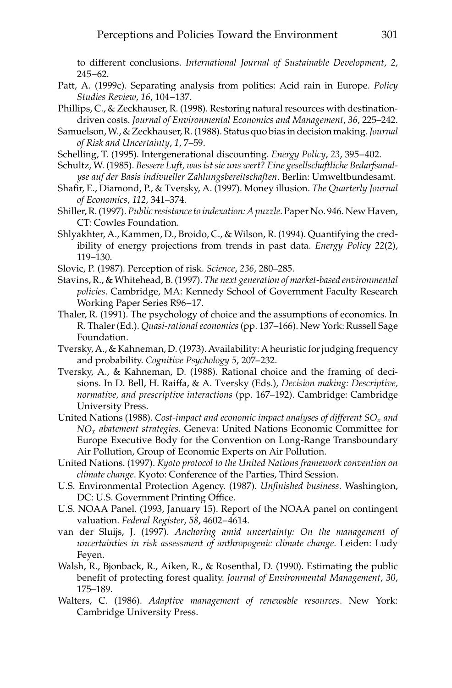to different conclusions. *International Journal of Sustainable Development*, *2*, 245–62.

- Patt, A. (1999c). Separating analysis from politics: Acid rain in Europe. *Policy Studies Review*, *16*, 104–137.
- Phillips, C., & Zeckhauser, R. (1998). Restoring natural resources with destinationdriven costs. *Journal of Environmental Economics and Management*, *36*, 225–242.
- Samuelson, W., & Zeckhauser, R. (1988). Status quo bias in decision making.*Journal of Risk and Uncertainty*, *1*, 7–59.
- Schelling, T. (1995). Intergenerational discounting. *Energy Policy*, *23*, 395–402.
- Schultz, W. (1985). *Bessere Luft, was ist sie uns wert? Eine gesellschaftliche Bedarfsanalyse auf der Basis indivueller Zahlungsbereitschaften*. Berlin: Umweltbundesamt.
- Shafir, E., Diamond, P., & Tversky, A. (1997). Money illusion. *The Quarterly Journal of Economics*, *112*, 341–374.
- Shiller, R. (1997). *Public resistance to indexation: A puzzle*. Paper No. 946. New Haven, CT: Cowles Foundation.
- Shlyakhter, A., Kammen, D., Broido, C., & Wilson, R. (1994). Quantifying the credibility of energy projections from trends in past data. *Energy Policy 22*(2), 119–130.
- Slovic, P. (1987). Perception of risk. *Science*, *236*, 280–285.
- Stavins, R., & Whitehead, B. (1997). *The next generation of market-based environmental policies*. Cambridge, MA: Kennedy School of Government Faculty Research Working Paper Series R96–17.
- Thaler, R. (1991). The psychology of choice and the assumptions of economics. In R. Thaler (Ed.). *Quasi-rational economics*(pp. 137–166). New York: Russell Sage Foundation.
- Tversky, A., & Kahneman, D. (1973). Availability: A heuristic for judging frequency and probability. *Cognitive Psychology 5*, 207–232.
- Tversky, A., & Kahneman, D. (1988). Rational choice and the framing of decisions. In D. Bell, H. Raiffa, & A. Tversky (Eds.), *Decision making: Descriptive, normative, and prescriptive interactions* (pp. 167–192). Cambridge: Cambridge University Press.
- United Nations (1988). *Cost-impact and economic impact analyses of different SO<sub>x</sub> and NOx abatement strategies*. Geneva: United Nations Economic Committee for Europe Executive Body for the Convention on Long-Range Transboundary Air Pollution, Group of Economic Experts on Air Pollution.
- United Nations. (1997). *Kyoto protocol to the United Nations framework convention on climate change*. Kyoto: Conference of the Parties, Third Session.
- U.S. Environmental Protection Agency. (1987). *Unfinished business*. Washington, DC: U.S. Government Printing Office.
- U.S. NOAA Panel. (1993, January 15). Report of the NOAA panel on contingent valuation. *Federal Register*, *58*, 4602–4614.
- van der Sluijs, J. (1997). *Anchoring amid uncertainty: On the management of uncertainties in risk assessment of anthropogenic climate change*. Leiden: Ludy Feyen.
- Walsh, R., Bjonback, R., Aiken, R., & Rosenthal, D. (1990). Estimating the public benefit of protecting forest quality. *Journal of Environmental Management*, *30*, 175–189.
- Walters, C. (1986). *Adaptive management of renewable resources*. New York: Cambridge University Press.